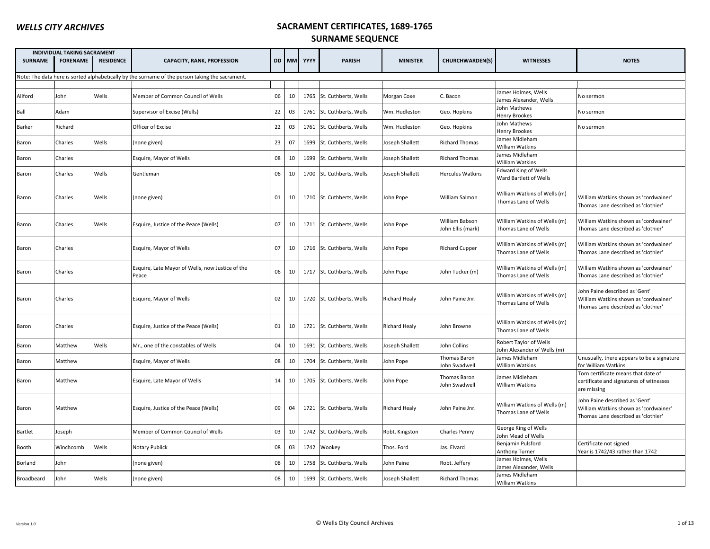| <b>INDIVIDUAL TAKING SACRAMENT</b> |                 |                  |                                                                                                 |    |       |      |                           |                      |                                      |                                                       |                                                                                                                |
|------------------------------------|-----------------|------------------|-------------------------------------------------------------------------------------------------|----|-------|------|---------------------------|----------------------|--------------------------------------|-------------------------------------------------------|----------------------------------------------------------------------------------------------------------------|
| <b>SURNAME</b>                     | <b>FORENAME</b> | <b>RESIDENCE</b> | <b>CAPACITY, RANK, PROFESSION</b>                                                               |    | DD MM | YYYY | <b>PARISH</b>             | <b>MINISTER</b>      | <b>CHURCHWARDEN(S)</b>               | <b>WITNESSES</b>                                      | <b>NOTES</b>                                                                                                   |
|                                    |                 |                  | Note: The data here is sorted alphabetically by the surname of the person taking the sacrament. |    |       |      |                           |                      |                                      |                                                       |                                                                                                                |
|                                    |                 |                  |                                                                                                 |    |       |      |                           |                      |                                      |                                                       |                                                                                                                |
| Allford                            | John            | Wells            | Member of Common Council of Wells                                                               | 06 | 10    | 1765 | St. Cuthberts, Wells      | Morgan Coxe          | C. Bacon                             | James Holmes, Wells<br>James Alexander, Wells         | No sermon                                                                                                      |
| Ball                               | Adam            |                  | Supervisor of Excise (Wells)                                                                    | 22 | 03    |      | 1761 St. Cuthberts, Wells | Wm. Hudleston        | Geo. Hopkins                         | John Mathews<br>Henry Brookes                         | No sermon                                                                                                      |
| Barker                             | Richard         |                  | Officer of Excise                                                                               | 22 | 03    |      | 1761 St. Cuthberts, Wells | Wm. Hudleston        | Geo. Hopkins                         | John Mathews<br><b>Henry Brookes</b>                  | No sermon                                                                                                      |
| Baron                              | Charles         | Wells            | (none given)                                                                                    | 23 | 07    | 1699 | St. Cuthberts, Wells      | Joseph Shallett      | <b>Richard Thomas</b>                | James Midleham<br>William Watkins                     |                                                                                                                |
| Baron                              | Charles         |                  | Esquire, Mayor of Wells                                                                         | 08 | 10    | 1699 | St. Cuthberts, Wells      | Joseph Shallett      | <b>Richard Thomas</b>                | James Midleham<br>William Watkins                     |                                                                                                                |
| Baron                              | Charles         | Wells            | Gentleman                                                                                       | 06 | 10    |      | 1700 St. Cuthberts, Wells | Joseph Shallett      | <b>Hercules Watkins</b>              | <b>Edward King of Wells</b><br>Ward Bartlett of Wells |                                                                                                                |
| Baron                              | Charles         | Wells            | (none given)                                                                                    | 01 | 10    |      | 1710 St. Cuthberts, Wells | John Pope            | William Salmon                       | William Watkins of Wells (m)<br>Thomas Lane of Wells  | William Watkins shown as 'cordwainer'<br>Thomas Lane described as 'clothier'                                   |
| Baron                              | Charles         | Wells            | Esquire, Justice of the Peace (Wells)                                                           | 07 | 10    |      | 1711 St. Cuthberts, Wells | John Pope            | William Babson<br>John Ellis (mark)  | William Watkins of Wells (m)<br>Thomas Lane of Wells  | William Watkins shown as 'cordwainer'<br>Thomas Lane described as 'clothier'                                   |
| Baron                              | Charles         |                  | Esquire, Mayor of Wells                                                                         | 07 | 10    |      | 1716 St. Cuthberts, Wells | John Pope            | <b>Richard Cupper</b>                | William Watkins of Wells (m)<br>Thomas Lane of Wells  | William Watkins shown as 'cordwainer'<br>Thomas Lane described as 'clothier'                                   |
| Baron                              | Charles         |                  | Esquire, Late Mayor of Wells, now Justice of the<br>Peace                                       | 06 | 10    |      | 1717 St. Cuthberts, Wells | John Pope            | John Tucker (m)                      | William Watkins of Wells (m)<br>Thomas Lane of Wells  | William Watkins shown as 'cordwainer'<br>Thomas Lane described as 'clothier'                                   |
| Baron                              | Charles         |                  | Esquire, Mayor of Wells                                                                         | 02 | 10    |      | 1720 St. Cuthberts, Wells | <b>Richard Healy</b> | John Paine Jnr.                      | William Watkins of Wells (m)<br>Thomas Lane of Wells  | John Paine described as 'Gent'<br>William Watkins shown as 'cordwainer'<br>Thomas Lane described as 'clothier' |
| Baron                              | Charles         |                  | Esquire, Justice of the Peace (Wells)                                                           | 01 | 10    |      | 1721 St. Cuthberts, Wells | <b>Richard Healy</b> | John Browne                          | William Watkins of Wells (m)<br>Thomas Lane of Wells  |                                                                                                                |
| Baron                              | Matthew         | Wells            | Mr., one of the constables of Wells                                                             | 04 | 10    |      | 1691 St. Cuthberts, Wells | Joseph Shallett      | John Collins                         | Robert Taylor of Wells<br>John Alexander of Wells (m) |                                                                                                                |
| Baron                              | Matthew         |                  | Esquire, Mayor of Wells                                                                         | 08 | 10    | 1704 | St. Cuthberts, Wells      | John Pope            | Thomas Baron<br><b>Iohn Swadwell</b> | James Midleham<br>William Watkins                     | Unusually, there appears to be a signature<br>for William Watkins                                              |
| Baron                              | Matthew         |                  | Esquire, Late Mayor of Wells                                                                    | 14 | 10    |      | 1705 St. Cuthberts, Wells | John Pope            | Thomas Baron<br>John Swadwell        | James Midleham<br>William Watkins                     | Torn certificate means that date of<br>certificate and signatures of witnesses<br>are missing                  |
| Baron                              | Matthew         |                  | Esquire, Justice of the Peace (Wells)                                                           | 09 | 04    |      | 1721 St. Cuthberts, Wells | <b>Richard Healy</b> | John Paine Jnr.                      | William Watkins of Wells (m)<br>Thomas Lane of Wells  | Iohn Paine described as 'Gent'<br>William Watkins shown as 'cordwainer'<br>Thomas Lane described as 'clothier' |
| Bartlet                            | Joseph          |                  | Member of Common Council of Wells                                                               | 03 | 10    |      | 1742 St. Cuthberts, Wells | Robt. Kingston       | Charles Penny                        | George King of Wells<br>John Mead of Wells            |                                                                                                                |
| Booth                              | Winchcomb       | Wells            | Notary Publick                                                                                  | 08 | 03    | 1742 | Wookey                    | Thos. Ford           | Jas. Elvard                          | Benjamin Pulsford<br><b>Anthony Turner</b>            | Certificate not signed<br>Year is 1742/43 rather than 1742                                                     |
| Borland                            | Iohn            |                  | (none given)                                                                                    | 08 | 10    |      | 1758 St. Cuthberts, Wells | John Paine           | Robt. Jeffery                        | James Holmes, Wells<br>James Alexander, Wells         |                                                                                                                |
| Broadbeard                         | John            | Wells            | (none given)                                                                                    | 08 | 10    |      | 1699 St. Cuthberts, Wells | Joseph Shallett      | <b>Richard Thomas</b>                | James Midleham<br>William Watkins                     |                                                                                                                |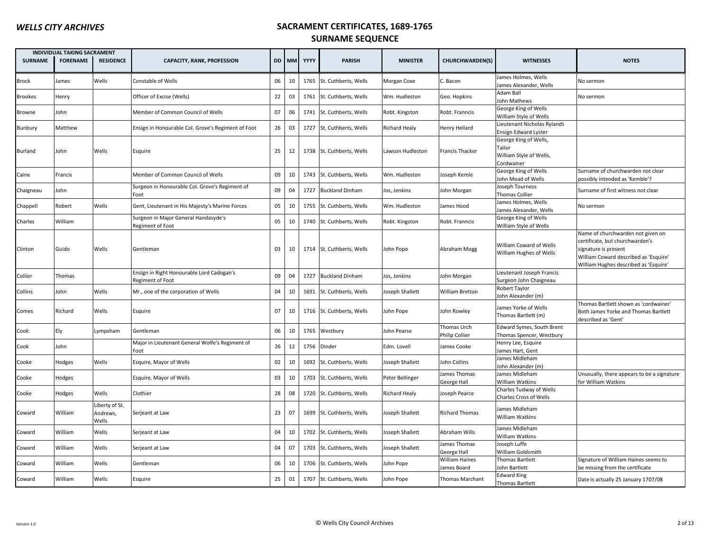|                | <b>INDIVIDUAL TAKING SACRAMENT</b> |                                     |                                                               |    |    |            |                           |                      |                                      |                                                                          |                                                                                                                                                                                |
|----------------|------------------------------------|-------------------------------------|---------------------------------------------------------------|----|----|------------|---------------------------|----------------------|--------------------------------------|--------------------------------------------------------------------------|--------------------------------------------------------------------------------------------------------------------------------------------------------------------------------|
| <b>SURNAME</b> | <b>FORENAME</b>                    | <b>RESIDENCE</b>                    | <b>CAPACITY, RANK, PROFESSION</b>                             |    |    | DD MM YYYY | <b>PARISH</b>             | <b>MINISTER</b>      | CHURCHWARDEN(S)                      | <b>WITNESSES</b>                                                         | <b>NOTES</b>                                                                                                                                                                   |
| Brock          | James                              | Wells                               | Constable of Wells                                            | 06 | 10 | 1765       | St. Cuthberts, Wells      | Morgan Coxe          | C. Bacon                             | James Holmes, Wells<br>James Alexander, Wells                            | No sermon                                                                                                                                                                      |
| <b>Brookes</b> | Henry                              |                                     | Officer of Excise (Wells)                                     | 22 | 03 | 1761       | St. Cuthberts, Wells      | Wm. Hudleston        | Geo. Hopkins                         | Adam Ball<br>ohn Mathews                                                 | No sermon                                                                                                                                                                      |
| Browne         | John                               |                                     | Member of Common Council of Wells                             | 07 | 06 | 1741       | St. Cuthberts, Wells      | Robt. Kingston       | Robt. Franncis                       | George King of Wells<br>William Style of Wells                           |                                                                                                                                                                                |
| Bunbury        | Matthew                            |                                     | Ensign in Honourable Col. Grove's Regiment of Foot            | 26 | 03 | 1727       | St. Cuthberts, Wells      | <b>Richard Healy</b> | <b>Henry Hellard</b>                 | Lieutenant Nicholas Rylands<br><b>Ensign Edward Lyster</b>               |                                                                                                                                                                                |
| Burland        | John                               | Wells                               | Esquire                                                       | 25 | 12 |            | 1738 St. Cuthberts, Wells | Lawson Hudleston     | <b>Francis Thacker</b>               | George King of Wells,<br>Tailor<br>William Style of Wells,<br>Cordwainer |                                                                                                                                                                                |
| Caine          | Francis                            |                                     | Member of Common Council of Wells                             | 09 | 10 |            | 1743 St. Cuthberts, Wells | Wm. Hudleston        | Joseph Kemle                         | George King of Wells<br>John Mead of Wells                               | Surname of churchwarden not clear<br>possibly intended as 'Kemble'?                                                                                                            |
| Chaigneau      | John                               |                                     | Surgeon in Honourable Col. Grove's Regiment of<br>Foot        | 09 | 04 | 1727       | <b>Buckland Dinham</b>    | Jos, Jenkins         | John Morgan                          | Joseph Tourness<br><b>Thomas Collier</b>                                 | Surname of first witness not clear                                                                                                                                             |
| Chappell       | Robert                             | Wells                               | Gent, Lieutenant in His Majesty's Marine Forces               | 05 | 10 | 1755       | St. Cuthberts, Wells      | Wm. Hudleston        | James Hood                           | James Holmes, Wells<br>James Alexander, Wells                            | No sermon                                                                                                                                                                      |
| Charles        | William                            |                                     | Surgeon in Major General Handasyde's<br>Regiment of Foot      | 05 | 10 |            | 1740 St. Cuthberts, Wells | Robt. Kingston       | Robt. Franncis                       | George King of Wells<br>William Style of Wells                           |                                                                                                                                                                                |
| Clinton        | Guido                              | Wells                               | Gentleman                                                     | 03 | 10 |            | 1714 St. Cuthberts, Wells | John Pope            | Abraham Mogg                         | William Coward of Wells<br>William Hughes of Wells                       | Name of churchwarden not given on<br>certificate, but churchwarden's<br>signature is present<br>William Coward described as 'Esquire'<br>William Hughes described as 'Esquire' |
| Collier        | Thomas                             |                                     | Ensign in Right Honourable Lord Cadogan's<br>Regiment of Foot | 09 | 04 | 1727       | <b>Buckland Dinham</b>    | Jos, Jenkins         | John Morgan                          | Lieutenant Joseph Francis<br>Surgeon John Chaigneau                      |                                                                                                                                                                                |
| Collins        | John                               | Wells                               | Mr., one of the corporation of Wells                          | 04 | 10 | 1691       | St. Cuthberts. Wells      | Joseph Shallett      | <b>William Bretton</b>               | Robert Taylor<br>John Alexander (m)                                      |                                                                                                                                                                                |
| Comes          | Richard                            | Wells                               | Esquire                                                       | 07 | 10 |            | 1716 St. Cuthberts, Wells | John Pope            | John Rowley                          | James Yorke of Wells<br>Thomas Bartlett (m)                              | Thomas Bartlett shown as 'cordwainer'<br>Both James Yorke and Thomas Bartlett<br>described as 'Gent'                                                                           |
| Cook           | Ely                                | Lympsham                            | Gentleman                                                     | 06 | 10 | 1765       | Westbury                  | John Pearse          | Thomas Urch<br><b>Philip Collier</b> | Edward Symes, South Brent<br>Thomas Spencer, Westbury                    |                                                                                                                                                                                |
| Cook           | John                               |                                     | Major in Lieutenant General Wolfe's Regiment of<br>Foot       | 26 | 12 | 1756       | Dinder                    | Edm. Lovell          | James Cooke                          | Henry Lee, Esquire<br>ames Hart, Gent                                    |                                                                                                                                                                                |
| Cooke          | Hodges                             | Wells                               | Esquire, Mayor of Wells                                       | 02 | 10 | 1692       | St. Cuthberts, Wells      | Joseph Shallett      | John Collins                         | James Midleham<br>ohn Alexander (m)                                      |                                                                                                                                                                                |
| Cooke          | Hodges                             |                                     | Esquire, Mayor of Wells                                       | 03 | 10 |            | 1703 St. Cuthberts, Wells | Peter Bellinger      | James Thomas<br>George Hall          | James Midleham<br>William Watkins                                        | Unusually, there appears to be a signature<br>for William Watkins                                                                                                              |
| Cooke          | Hodges                             | Wells                               | Clothier                                                      | 28 | 08 |            | 1720 St. Cuthberts, Wells | <b>Richard Healy</b> | Joseph Pearce                        | Charles Tudway of Wells<br><b>Charles Cross of Wells</b>                 |                                                                                                                                                                                |
| Coward         | William                            | Liberty of St.<br>Andrews,<br>Wells | Serjeant at Law                                               | 23 | 07 |            | 1699 St. Cuthberts, Wells | Joseph Shallett      | <b>Richard Thomas</b>                | James Midleham<br>William Watkins                                        |                                                                                                                                                                                |
| Coward         | William                            | Wells                               | Serjeant at Law                                               | 04 | 10 |            | 1702 St. Cuthberts, Wells | Joseph Shallett      | Abraham Wills                        | James Midleham<br>William Watkins                                        |                                                                                                                                                                                |
| Coward         | William                            | Wells                               | Serjeant at Law                                               | 04 | 07 |            | 1703 St. Cuthberts, Wells | Joseph Shallett      | James Thomas<br>George Hall          | Joseph Luffe<br>William Goldsmith                                        |                                                                                                                                                                                |
| Coward         | William                            | Wells                               | Gentleman                                                     | 06 | 10 | 1706       | St. Cuthberts, Wells      | John Pope            | <b>William Haines</b><br>James Board | <b>Thomas Bartlett</b><br>John Bartlett                                  | Signature of William Haines seems to<br>be missing from the certificate                                                                                                        |
| Coward         | William                            | Wells                               | Esquire                                                       | 25 | 01 |            | 1707 St. Cuthberts, Wells | John Pope            | Thomas Marchant                      | <b>Edward King</b><br><b>Thomas Bartlett</b>                             | Date is actually 25 January 1707/08                                                                                                                                            |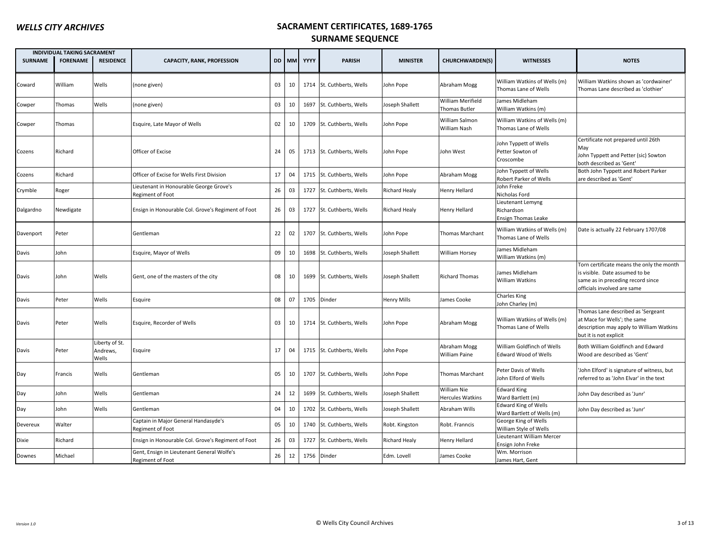|                | <b>INDIVIDUAL TAKING SACRAMENT</b> |                                     |                                                                |    |       |      |                           |                    |                                    |                                                           |                                                                                                                                                 |
|----------------|------------------------------------|-------------------------------------|----------------------------------------------------------------|----|-------|------|---------------------------|--------------------|------------------------------------|-----------------------------------------------------------|-------------------------------------------------------------------------------------------------------------------------------------------------|
| <b>SURNAME</b> | <b>FORENAME</b>                    | <b>RESIDENCE</b>                    | <b>CAPACITY, RANK, PROFESSION</b>                              |    | DD MM | YYYY | <b>PARISH</b>             | <b>MINISTER</b>    | <b>CHURCHWARDEN(S)</b>             | <b>WITNESSES</b>                                          | <b>NOTES</b>                                                                                                                                    |
| Coward         | William                            | Wells                               | (none given)                                                   | 03 | 10    |      | 1714 St. Cuthberts, Wells | John Pope          | Abraham Mogg                       | William Watkins of Wells (m)<br>Thomas Lane of Wells      | William Watkins shown as 'cordwainer'<br>Thomas Lane described as 'clothier'                                                                    |
| Cowper         | Thomas                             | Wells                               | (none given)                                                   | 03 | 10    | 1697 | St. Cuthberts, Wells      | Joseph Shallett    | William Merifield<br>Thomas Butler | James Midleham<br>William Watkins (m)                     |                                                                                                                                                 |
| Cowper         | Thomas                             |                                     | Esquire, Late Mayor of Wells                                   | 02 | 10    |      | 1709 St. Cuthberts, Wells | John Pope          | William Salmon<br>William Nash     | William Watkins of Wells (m)<br>Thomas Lane of Wells      |                                                                                                                                                 |
| Cozens         | Richard                            |                                     | Officer of Excise                                              | 24 | 05    |      | 1713 St. Cuthberts, Wells | John Pope          | John West                          | Iohn Typpett of Wells<br>Petter Sowton of<br>Croscombe    | Certificate not prepared until 26th<br>May<br>John Typpett and Petter (sic) Sowton<br>both described as 'Gent'                                  |
| Cozens         | Richard                            |                                     | Officer of Excise for Wells First Division                     | 17 | 04    |      | 1715 St. Cuthberts, Wells | John Pope          | Abraham Mogg                       | John Typpett of Wells<br>Robert Parker of Wells           | Both John Typpett and Robert Parker<br>are described as 'Gent'                                                                                  |
| Crymble        | Roger                              |                                     | Lieutenant in Honourable George Grove's<br>Regiment of Foot    | 26 | 03    |      | 1727 St. Cuthberts, Wells | Richard Healy      | Henry Hellard                      | Iohn Freke<br>Nicholas Ford                               |                                                                                                                                                 |
| Dalgardno      | Newdigate                          |                                     | Ensign in Honourable Col. Grove's Regiment of Foot             | 26 | 03    |      | 1727 St. Cuthberts, Wells | Richard Healy      | Henry Hellard                      | Lieutenant Lemyng<br>Richardson<br>Ensign Thomas Leake    |                                                                                                                                                 |
| Davenport      | Peter                              |                                     | Gentleman                                                      | 22 | 02    |      | 1707 St. Cuthberts, Wells | John Pope          | Thomas Marchant                    | William Watkins of Wells (m)<br>Thomas Lane of Wells      | Date is actually 22 February 1707/08                                                                                                            |
| Davis          | John                               |                                     | Esquire, Mayor of Wells                                        | 09 | 10    |      | 1698 St. Cuthberts, Wells | Joseph Shallett    | William Horsey                     | James Midleham<br>William Watkins (m)                     |                                                                                                                                                 |
| Davis          | John                               | Wells                               | Gent, one of the masters of the city                           | 08 | 10    |      | 1699 St. Cuthberts, Wells | Joseph Shallett    | <b>Richard Thomas</b>              | lames Midleham<br>William Watkins                         | Torn certificate means the only the month<br>is visible. Date assumed to be<br>same as in preceding record since<br>officials involved are same |
| Davis          | Peter                              | Wells                               | Esquire                                                        | 08 | 07    | 1705 | Dinder                    | <b>Henry Mills</b> | James Cooke                        | Charles King<br>Iohn Charley (m)                          |                                                                                                                                                 |
| Davis          | Peter                              | Wells                               | Esquire, Recorder of Wells                                     | 03 | 10    |      | 1714 St. Cuthberts, Wells | John Pope          | Abraham Mogg                       | William Watkins of Wells (m)<br>Thomas Lane of Wells      | Thomas Lane described as 'Sergeant<br>at Mace for Wells'; the same<br>description may apply to William Watkins<br>but it is not explicit        |
| Davis          | Peter                              | Liberty of St.<br>Andrews,<br>Wells | Esquire                                                        | 17 | 04    |      | 1715 St. Cuthberts, Wells | John Pope          | Abraham Mogg<br>William Paine      | William Goldfinch of Wells<br><b>Edward Wood of Wells</b> | Both William Goldfinch and Edward<br>Wood are described as 'Gent'                                                                               |
| Day            | Francis                            | Wells                               | Gentleman                                                      | 05 | 10    |      | 1707 St. Cuthberts, Wells | John Pope          | <b>Thomas Marchant</b>             | Peter Davis of Wells<br>John Elford of Wells              | John Elford' is signature of witness, but<br>referred to as 'John Elvar' in the text                                                            |
| Day            | John                               | Wells                               | Gentleman                                                      | 24 | 12    | 1699 | St. Cuthberts, Wells      | Joseph Shallett    | William Nie<br>Hercules Watkins    | Edward King<br>Ward Bartlett (m)                          | John Day described as 'Junr'                                                                                                                    |
| Day            | John                               | Wells                               | Gentleman                                                      | 04 | 10    |      | 1702 St. Cuthberts, Wells | Joseph Shallett    | Abraham Wills                      | <b>Edward King of Wells</b><br>Ward Bartlett of Wells (m) | John Day described as 'Junr'                                                                                                                    |
| Devereux       | Walter                             |                                     | Captain in Major General Handasyde's<br>Regiment of Foot       | 05 | 10    |      | 1740 St. Cuthberts, Wells | Robt. Kingston     | Robt. Franncis                     | George King of Wells<br>William Style of Wells            |                                                                                                                                                 |
| Dixie          | Richard                            |                                     | Ensign in Honourable Col. Grove's Regiment of Foot             | 26 | 03    | 1727 | St. Cuthberts, Wells      | Richard Healy      | Henry Hellard                      | Lieutenant William Mercer<br>Ensign John Freke            |                                                                                                                                                 |
| Downes         | Michael                            |                                     | Gent, Ensign in Lieutenant General Wolfe's<br>Regiment of Foot | 26 | 12    |      | 1756 Dinder               | Edm. Lovell        | James Cooke                        | Wm. Morrison<br>James Hart, Gent                          |                                                                                                                                                 |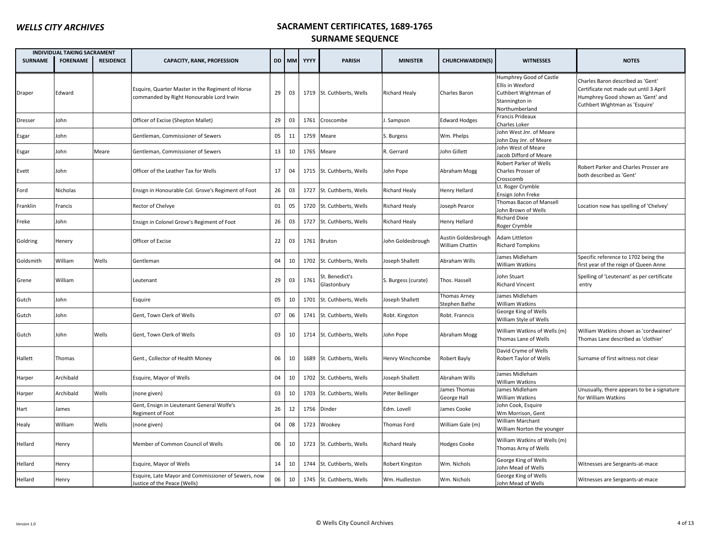|                | <b>INDIVIDUAL TAKING SACRAMENT</b> |                  |                                                                                              |    |       |             |                               |                      |                                        |                                                                                                         |                                                                                                                                                    |
|----------------|------------------------------------|------------------|----------------------------------------------------------------------------------------------|----|-------|-------------|-------------------------------|----------------------|----------------------------------------|---------------------------------------------------------------------------------------------------------|----------------------------------------------------------------------------------------------------------------------------------------------------|
| <b>SURNAME</b> | <b>FORENAME</b>                    | <b>RESIDENCE</b> | <b>CAPACITY, RANK, PROFESSION</b>                                                            |    | DD MM | YYYY        | <b>PARISH</b>                 | <b>MINISTER</b>      | <b>CHURCHWARDEN(S)</b>                 | <b>WITNESSES</b>                                                                                        | <b>NOTES</b>                                                                                                                                       |
| Draper         | Edward                             |                  | Esquire, Quarter Master in the Regiment of Horse<br>commanded by Right Honourable Lord Irwin | 29 | 03    |             | 1719 St. Cuthberts, Wells     | <b>Richard Healy</b> | Charles Baron                          | Humphrey Good of Castle<br>Ellis in Wexford<br>Cuthbert Wightman of<br>Stannington in<br>Northumberland | Charles Baron described as 'Gent'<br>Certificate not made out until 3 April<br>Humphrey Good shown as 'Gent' and<br>Cuthbert Wightman as 'Esquire' |
| Dresser        | John                               |                  | Officer of Excise (Shepton Mallet)                                                           | 29 | 03    | 1761        | Croscombe                     | . Sampson            | <b>Edward Hodges</b>                   | Francis Prideaux<br>Charles Loker                                                                       |                                                                                                                                                    |
| Esgar          | Iohn                               |                  | Gentleman, Commissioner of Sewers                                                            | 05 | 11    | 1759        | Meare                         | S. Burgess           | Wm. Phelps                             | John West Jnr. of Meare<br>John Day Jnr. of Meare                                                       |                                                                                                                                                    |
| Esgar          | John                               | Meare            | Gentleman, Commissioner of Sewers                                                            | 13 | 10    | 1765        | Meare                         | R. Gerrard           | John Gillett                           | Iohn West of Meare<br>Jacob Difford of Meare                                                            |                                                                                                                                                    |
| Evett          | John                               |                  | Officer of the Leather Tax for Wells                                                         | 17 | 04    |             | 1715 St. Cuthberts, Wells     | John Pope            | Abraham Mogg                           | Robert Parker of Wells<br>Charles Prosser of<br>Crosscomb                                               | Robert Parker and Charles Prosser are<br>both described as 'Gent'                                                                                  |
| Ford           | Nicholas                           |                  | Ensign in Honourable Col. Grove's Regiment of Foot                                           | 26 | 03    | 1727        | St. Cuthberts, Wells          | Richard Healy        | Henry Hellard                          | Lt. Roger Crymble<br>Ensign John Freke                                                                  |                                                                                                                                                    |
| Franklin       | Francis                            |                  | Rector of Chelvye                                                                            | 01 | 05    | 1720        | St. Cuthberts, Wells          | <b>Richard Healy</b> | oseph Pearce                           | Thomas Bacon of Mansell<br>John Brown of Wells                                                          | Location now has spelling of 'Chelvey'                                                                                                             |
| Freke          | lohn                               |                  | Ensign in Colonel Grove's Regiment of Foot                                                   | 26 | 03    | 1727        | St. Cuthberts, Wells          | <b>Richard Healy</b> | Henry Hellard                          | <b>Richard Dixie</b><br>Roger Crymble                                                                   |                                                                                                                                                    |
| Goldring       | Henery                             |                  | Officer of Excise                                                                            | 22 | 03    | 1761 Bruton |                               | John Goldesbrough    | Austin Goldesbrough<br>William Chattin | Adam Littleton<br><b>Richard Tompkins</b>                                                               |                                                                                                                                                    |
| Goldsmith      | William                            | Wells            | Gentleman                                                                                    | 04 | 10    |             | 1702 St. Cuthberts, Wells     | Joseph Shallett      | Abraham Wills                          | James Midleham<br><b>William Watkins</b>                                                                | Specific reference to 1702 being the<br>first year of the reign of Queen Anne                                                                      |
| Grene          | William                            |                  | Leutenant                                                                                    | 29 | 03    | 1761        | St. Benedict's<br>Glastonbury | S. Burgess (curate)  | Thos. Hassell                          | John Stuart<br><b>Richard Vincent</b>                                                                   | Spelling of 'Leutenant' as per certificate<br>entry                                                                                                |
| Gutch          | John                               |                  | Esquire                                                                                      | 05 | 10    |             | 1701 St. Cuthberts, Wells     | Joseph Shallett      | Thomas Arney<br>Stephen Bathe          | James Midleham<br><b>William Watkins</b>                                                                |                                                                                                                                                    |
| Gutch          | lohn                               |                  | Gent, Town Clerk of Wells                                                                    | 07 | 06    |             | 1741 St. Cuthberts, Wells     | Robt. Kingston       | Robt. Franncis                         | George King of Wells<br>William Style of Wells                                                          |                                                                                                                                                    |
| Gutch          | John                               | Wells            | Gent, Town Clerk of Wells                                                                    | 03 | 10    |             | 1714 St. Cuthberts, Wells     | John Pope            | Abraham Mogg                           | William Watkins of Wells (m)<br>Thomas Lane of Wells                                                    | William Watkins shown as 'cordwainer'<br>Thomas Lane described as 'clothier'                                                                       |
| Hallett        | Thomas                             |                  | Gent., Collector of Health Money                                                             | 06 | 10    | 1689        | St. Cuthberts, Wells          | Henry Winchcombe     | Robert Bayly                           | David Cryme of Wells<br>Robert Taylor of Wells                                                          | Surname of first witness not clear                                                                                                                 |
| Harper         | Archibald                          |                  | Esquire, Mayor of Wells                                                                      | 04 | 10    |             | 1702 St. Cuthberts, Wells     | Joseph Shallett      | Abraham Wills                          | James Midleham<br><b>William Watkins</b>                                                                |                                                                                                                                                    |
| Harper         | Archibald                          | Wells            | (none given)                                                                                 | 03 | 10    | 1703        | St. Cuthberts, Wells          | Peter Bellinger      | ames Thomas<br>George Hall             | James Midleham<br><b>William Watkins</b>                                                                | Unusually, there appears to be a signature<br>for William Watkins                                                                                  |
| Hart           | lames                              |                  | Gent, Ensign in Lieutenant General Wolfe's<br>Regiment of Foot                               | 26 | 12    | 1756        | Dinder                        | Edm. Lovell          | James Cooke                            | John Cook, Esquire<br>Wm Morrison, Gent                                                                 |                                                                                                                                                    |
| Healy          | William                            | Wells            | (none given)                                                                                 | 04 | 08    | 1723        | Wookey                        | Thomas Ford          | William Gale (m)                       | <b>William Marchant</b><br>William Norton the younger                                                   |                                                                                                                                                    |
| Hellard        | Henry                              |                  | Member of Common Council of Wells                                                            | 06 | 10    |             | 1723 St. Cuthberts, Wells     | <b>Richard Healy</b> | <b>Hodges Cooke</b>                    | William Watkins of Wells (m)<br>Thomas Arny of Wells                                                    |                                                                                                                                                    |
| Hellard        | Henry                              |                  | Esquire, Mayor of Wells                                                                      | 14 | 10    | 1744        | St. Cuthberts, Wells          | Robert Kingston      | Wm. Nichols                            | George King of Wells<br>John Mead of Wells                                                              | Witnesses are Sergeants-at-mace                                                                                                                    |
| Hellard        | Henry                              |                  | Esquire, Late Mayor and Commissioner of Sewers, now<br>Justice of the Peace (Wells)          | 06 | 10    |             | 1745 St. Cuthberts, Wells     | Wm. Hudleston        | Wm. Nichols                            | George King of Wells<br>John Mead of Wells                                                              | Witnesses are Sergeants-at-mace                                                                                                                    |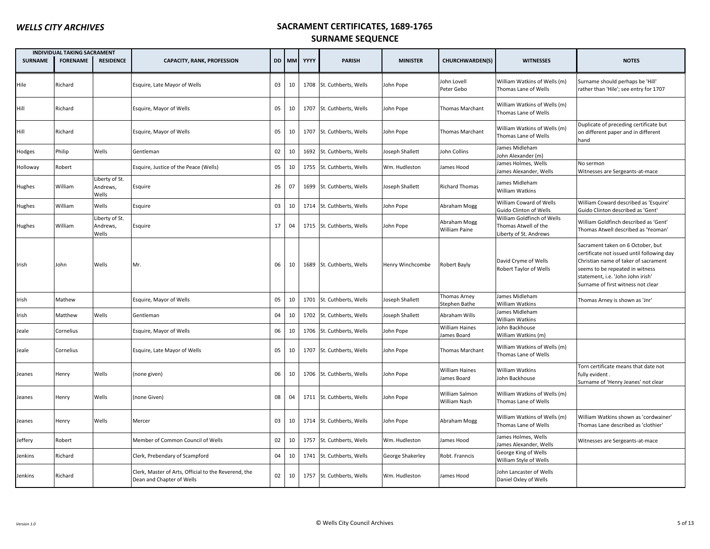|                | <b>INDIVIDUAL TAKING SACRAMENT</b> |                                     |                                                                                   |    |    |            |                           |                  |                                      |                                                                              |                                                                                                                                                                                                                                       |
|----------------|------------------------------------|-------------------------------------|-----------------------------------------------------------------------------------|----|----|------------|---------------------------|------------------|--------------------------------------|------------------------------------------------------------------------------|---------------------------------------------------------------------------------------------------------------------------------------------------------------------------------------------------------------------------------------|
| <b>SURNAME</b> | <b>FORENAME</b>                    | <b>RESIDENCE</b>                    | <b>CAPACITY, RANK, PROFESSION</b>                                                 |    |    | DD MM YYYY | <b>PARISH</b>             | <b>MINISTER</b>  | CHURCHWARDEN(S)                      | <b>WITNESSES</b>                                                             | <b>NOTES</b>                                                                                                                                                                                                                          |
| Hile           | Richard                            |                                     | Esquire, Late Mayor of Wells                                                      | 03 | 10 |            | 1708 St. Cuthberts, Wells | John Pope        | John Lovell<br>Peter Gebo            | William Watkins of Wells (m)<br>Thomas Lane of Wells                         | Surname should perhaps be 'Hill'<br>rather than 'Hile'; see entry for 1707                                                                                                                                                            |
| Hill           | Richard                            |                                     | Esquire, Mayor of Wells                                                           | 05 | 10 |            | 1707 St. Cuthberts, Wells | John Pope        | Thomas Marchant                      | William Watkins of Wells (m)<br>Thomas Lane of Wells                         |                                                                                                                                                                                                                                       |
| Hill           | Richard                            |                                     | Esquire, Mayor of Wells                                                           | 05 | 10 |            | 1707 St. Cuthberts, Wells | John Pope        | Thomas Marchant                      | William Watkins of Wells (m)<br>Thomas Lane of Wells                         | Duplicate of preceding certificate but<br>on different paper and in different<br>hand                                                                                                                                                 |
| Hodges         | Philip                             | Wells                               | Gentleman                                                                         | 02 | 10 | 1692       | St. Cuthberts, Wells      | Joseph Shallett  | John Collins                         | James Midleham<br>John Alexander (m)                                         |                                                                                                                                                                                                                                       |
| Holloway       | Robert                             |                                     | Esquire, Justice of the Peace (Wells)                                             | 05 | 10 |            | 1755 St. Cuthberts, Wells | Wm. Hudleston    | lames Hood                           | James Holmes, Wells<br>lames Alexander, Wells                                | No sermon<br>Witnesses are Sergeants-at-mace                                                                                                                                                                                          |
| Hughes         | William                            | Liberty of St.<br>Andrews,<br>Wells | Esquire                                                                           | 26 | 07 | 1699       | St. Cuthberts, Wells      | Joseph Shallett  | <b>Richard Thomas</b>                | James Midleham<br><b>William Watkins</b>                                     |                                                                                                                                                                                                                                       |
| Hughes         | William                            | Wells                               | Esquire                                                                           | 03 | 10 | 1714       | St. Cuthberts, Wells      | John Pope        | Abraham Mogg                         | William Coward of Wells<br>Guido Clinton of Wells                            | William Coward described as 'Esquire'<br>Guido Clinton described as 'Gent'                                                                                                                                                            |
| Hughes         | William                            | Liberty of St.<br>Andrews,<br>Wells | Esquire                                                                           | 17 | 04 |            | 1715 St. Cuthberts, Wells | John Pope        | Abraham Mogg<br>William Paine        | William Goldfinch of Wells<br>Thomas Atwell of the<br>Liberty of St. Andrews | William Goldfinch described as 'Gent'<br>Thomas Atwell described as 'Yeoman'                                                                                                                                                          |
| Irish          | John                               | Wells                               | Mr.                                                                               | 06 | 10 |            | 1689 St. Cuthberts, Wells | Henry Winchcombe | Robert Bayly                         | David Cryme of Wells<br>Robert Taylor of Wells                               | Sacrament taken on 6 October, but<br>certificate not issued until following day<br>Christian name of taker of sacrament<br>seems to be repeated in witness<br>statement, i.e. 'John John irish'<br>Surname of first witness not clear |
| Irish          | Mathew                             |                                     | Esquire, Mayor of Wells                                                           | 05 | 10 | 1701       | St. Cuthberts, Wells      | Joseph Shallett  | Thomas Arney<br>Stephen Bathe        | James Midleham<br>William Watkins                                            | Thomas Arney is shown as 'Jnr'                                                                                                                                                                                                        |
| Irish          | Matthew                            | Wells                               | Gentleman                                                                         | 04 | 10 | 1702       | St. Cuthberts, Wells      | Joseph Shallett  | Abraham Wills                        | James Midleham<br>William Watkins                                            |                                                                                                                                                                                                                                       |
| Jeale          | Cornelius                          |                                     | Esquire, Mayor of Wells                                                           | 06 | 10 | 1706       | St. Cuthberts, Wells      | John Pope        | <b>William Haines</b><br>lames Board | John Backhouse<br>William Watkins (m)                                        |                                                                                                                                                                                                                                       |
| Jeale          | Cornelius                          |                                     | Esquire, Late Mayor of Wells                                                      | 05 | 10 |            | 1707 St. Cuthberts, Wells | John Pope        | Thomas Marchant                      | William Watkins of Wells (m)<br>Thomas Lane of Wells                         |                                                                                                                                                                                                                                       |
| Jeanes         | Henry                              | Wells                               | (none given)                                                                      | 06 | 10 |            | 1706 St. Cuthberts, Wells | John Pope        | <b>William Haines</b><br>James Board | William Watkins<br>John Backhouse                                            | Torn certificate means that date not<br>fully evident.<br>Surname of 'Henry Jeanes' not clear                                                                                                                                         |
| Jeanes         | Henry                              | Wells                               | (none Given)                                                                      | 08 | 04 |            | 1711 St. Cuthberts, Wells | John Pope        | William Salmon<br>William Nash       | William Watkins of Wells (m)<br>Thomas Lane of Wells                         |                                                                                                                                                                                                                                       |
| Jeanes         | Henry                              | Wells                               | Mercer                                                                            | 03 | 10 |            | 1714 St. Cuthberts, Wells | John Pope        | Abraham Mogg                         | William Watkins of Wells (m)<br>Thomas Lane of Wells                         | William Watkins shown as 'cordwainer'<br>Thomas Lane described as 'clothier'                                                                                                                                                          |
| Jeffery        | Robert                             |                                     | Member of Common Council of Wells                                                 | 02 | 10 | 1757       | St. Cuthberts, Wells      | Wm. Hudleston    | James Hood                           | James Holmes, Wells<br>lames Alexander, Wells                                | Witnesses are Sergeants-at-mace                                                                                                                                                                                                       |
| Jenkins        | Richard                            |                                     | Clerk, Prebendary of Scampford                                                    | 04 | 10 |            | 1741 St. Cuthberts, Wells | George Shakerley | Robt. Franncis                       | George King of Wells<br>William Style of Wells                               |                                                                                                                                                                                                                                       |
| Jenkins        | Richard                            |                                     | Clerk, Master of Arts, Official to the Reverend, the<br>Dean and Chapter of Wells | 02 | 10 |            | 1757 St. Cuthberts, Wells | Wm. Hudleston    | James Hood                           | John Lancaster of Wells<br>Daniel Oxley of Wells                             |                                                                                                                                                                                                                                       |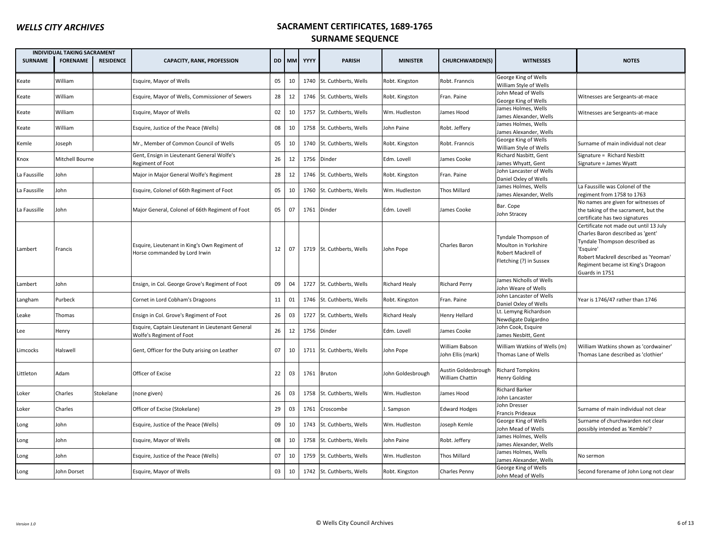|                | <b>INDIVIDUAL TAKING SACRAMENT</b> |                  |                                                                                |    |       |      |                           |                      |                                        |                                                                                              |                                                                                                                                                                                                                            |
|----------------|------------------------------------|------------------|--------------------------------------------------------------------------------|----|-------|------|---------------------------|----------------------|----------------------------------------|----------------------------------------------------------------------------------------------|----------------------------------------------------------------------------------------------------------------------------------------------------------------------------------------------------------------------------|
| <b>SURNAME</b> | <b>FORENAME</b>                    | <b>RESIDENCE</b> | <b>CAPACITY, RANK, PROFESSION</b>                                              |    | DD MM | YYYY | <b>PARISH</b>             | <b>MINISTER</b>      | <b>CHURCHWARDEN(S)</b>                 | <b>WITNESSES</b>                                                                             | <b>NOTES</b>                                                                                                                                                                                                               |
| Keate          | William                            |                  | Esquire, Mayor of Wells                                                        | 05 | 10    | 1740 | St. Cuthberts, Wells      | Robt. Kingston       | Robt. Franncis                         | George King of Wells<br>William Style of Wells                                               |                                                                                                                                                                                                                            |
| Keate          | William                            |                  | Esquire, Mayor of Wells, Commissioner of Sewers                                | 28 | 12    | 1746 | St. Cuthberts, Wells      | Robt. Kingston       | Fran. Paine                            | John Mead of Wells<br>George King of Wells                                                   | Witnesses are Sergeants-at-mace                                                                                                                                                                                            |
| Keate          | William                            |                  | Esquire, Mayor of Wells                                                        | 02 | 10    | 1757 | St. Cuthberts, Wells      | Wm. Hudleston        | ames Hood                              | James Holmes, Wells<br>James Alexander, Wells                                                | Witnesses are Sergeants-at-mace                                                                                                                                                                                            |
| Keate          | William                            |                  | Esquire, Justice of the Peace (Wells)                                          | 08 | 10    | 1758 | St. Cuthberts, Wells      | John Paine           | Robt. Jeffery                          | James Holmes, Wells<br>James Alexander, Wells                                                |                                                                                                                                                                                                                            |
| Kemle          | Joseph                             |                  | Mr., Member of Common Council of Wells                                         | 05 | 10    | 1740 | St. Cuthberts, Wells      | Robt. Kingston       | Robt. Franncis                         | George King of Wells<br>William Style of Wells                                               | Surname of main individual not clear                                                                                                                                                                                       |
| Knox           | Mitchell Bourne                    |                  | Gent, Ensign in Lieutenant General Wolfe's<br>Regiment of Foot                 | 26 | 12    | 1756 | Dinder                    | Edm. Lovell          | ames Cooke                             | Richard Nasbitt, Gent<br>James Whyatt, Gent                                                  | Signature = Richard Nesbitt<br>Signature = James Wyatt                                                                                                                                                                     |
| La Faussille   | John                               |                  | Major in Major General Wolfe's Regiment                                        | 28 | 12    | 1746 | St. Cuthberts, Wells      | Robt. Kingston       | Fran. Paine                            | John Lancaster of Wells<br>Daniel Oxley of Wells                                             |                                                                                                                                                                                                                            |
| La Faussille   | John                               |                  | Esquire, Colonel of 66th Regiment of Foot                                      | 05 | 10    |      | 1760 St. Cuthberts, Wells | Wm. Hudleston        | <b>Thos Millard</b>                    | James Holmes, Wells<br>James Alexander, Wells                                                | La Faussille was Colonel of the<br>regiment from 1758 to 1763                                                                                                                                                              |
| La Faussille   | John                               |                  | Major General, Colonel of 66th Regiment of Foot                                | 05 | 07    |      | 1761 Dinder               | Edm. Lovell          | James Cooke                            | Bar. Cope<br>John Stracey                                                                    | No names are given for witnesses of<br>the taking of the sacrament, but the<br>certificate has two signatures                                                                                                              |
| Lambert        | Francis                            |                  | Esquire, Lieutenant in King's Own Regiment of<br>Horse commanded by Lord Irwin | 12 | 07    |      | 1719 St. Cuthberts, Wells | John Pope            | Charles Baron                          | Tyndale Thompson of<br>Moulton in Yorkshire<br>Robert Mackrell of<br>Fletching (?) in Sussex | Certificate not made out until 13 July<br>Charles Baron described as 'gent'<br>Tyndale Thompson described as<br>'Esquire'<br>Robert Mackrell described as 'Yeoman'<br>Regiment became ist King's Dragoon<br>Guards in 1751 |
| Lambert        | John                               |                  | Ensign, in Col. George Grove's Regiment of Foot                                | 09 | 04    | 1727 | St. Cuthberts, Wells      | <b>Richard Healy</b> | <b>Richard Perry</b>                   | James Nicholls of Wells<br>John Weare of Wells                                               |                                                                                                                                                                                                                            |
| Langham        | Purbeck                            |                  | Cornet in Lord Cobham's Dragoons                                               | 11 | 01    |      | 1746 St. Cuthberts, Wells | Robt. Kingston       | Fran. Paine                            | John Lancaster of Wells<br>Daniel Oxley of Wells                                             | Year is 1746/47 rather than 1746                                                                                                                                                                                           |
| Leake          | Thomas                             |                  | Ensign in Col. Grove's Regiment of Foot                                        | 26 | 03    | 1727 | St. Cuthberts, Wells      | <b>Richard Healy</b> | Henry Hellard                          | Lt. Lemyng Richardson<br>Newdigate Dalgardno                                                 |                                                                                                                                                                                                                            |
| Lee            | Henry                              |                  | Esquire, Captain Lieutenant in Lieutenant General<br>Wolfe's Regiment of Foot  | 26 | 12    | 1756 | Dinder                    | Edm. Lovell          | lames Cooke                            | John Cook, Esquire<br>James Nesbitt, Gent                                                    |                                                                                                                                                                                                                            |
| Limcocks       | Halswell                           |                  | Gent, Officer for the Duty arising on Leather                                  | 07 | 10    |      | 1711 St. Cuthberts, Wells | John Pope            | William Babson<br>John Ellis (mark)    | William Watkins of Wells (m)<br>Thomas Lane of Wells                                         | William Watkins shown as 'cordwainer'<br>Thomas Lane described as 'clothier'                                                                                                                                               |
| Littleton      | Adam                               |                  | Officer of Excise                                                              | 22 | 03    |      | 1761 Bruton               | John Goldesbrough    | Austin Goldesbrough<br>William Chattin | <b>Richard Tompkins</b><br><b>Henry Golding</b>                                              |                                                                                                                                                                                                                            |
| Loker          | Charles                            | Stokelane        | (none given)                                                                   | 26 | 03    | 1758 | St. Cuthberts, Wells      | Wm. Hudleston        | ames Hood                              | <b>Richard Barker</b><br>John Lancaster                                                      |                                                                                                                                                                                                                            |
| Loker          | Charles                            |                  | Officer of Excise (Stokelane)                                                  | 29 | 03    | 1761 | Croscombe                 | J. Sampson           | <b>Edward Hodges</b>                   | John Dresser<br><b>Francis Prideaux</b>                                                      | Surname of main individual not clear                                                                                                                                                                                       |
| Long           | John                               |                  | Esquire, Justice of the Peace (Wells)                                          | 09 | 10    | 1743 | St. Cuthberts, Wells      | Wm. Hudleston        | loseph Kemle                           | George King of Wells<br>John Mead of Wells                                                   | Surname of churchwarden not clear<br>possibly intended as 'Kemble'?                                                                                                                                                        |
| Long           | John                               |                  | Esquire, Mayor of Wells                                                        | 08 | 10    | 1758 | St. Cuthberts, Wells      | John Paine           | Robt. Jeffery                          | James Holmes, Wells<br>James Alexander, Wells                                                |                                                                                                                                                                                                                            |
| Long           | John                               |                  | Esquire, Justice of the Peace (Wells)                                          | 07 | 10    | 1759 | St. Cuthberts, Wells      | Wm. Hudleston        | Thos Millard                           | James Holmes, Wells<br>James Alexander, Wells                                                | No sermon                                                                                                                                                                                                                  |
| Long           | John Dorset                        |                  | Esquire, Mayor of Wells                                                        | 03 | 10    |      | 1742 St. Cuthberts, Wells | Robt. Kingston       | Charles Penny                          | George King of Wells<br>John Mead of Wells                                                   | Second forename of John Long not clear                                                                                                                                                                                     |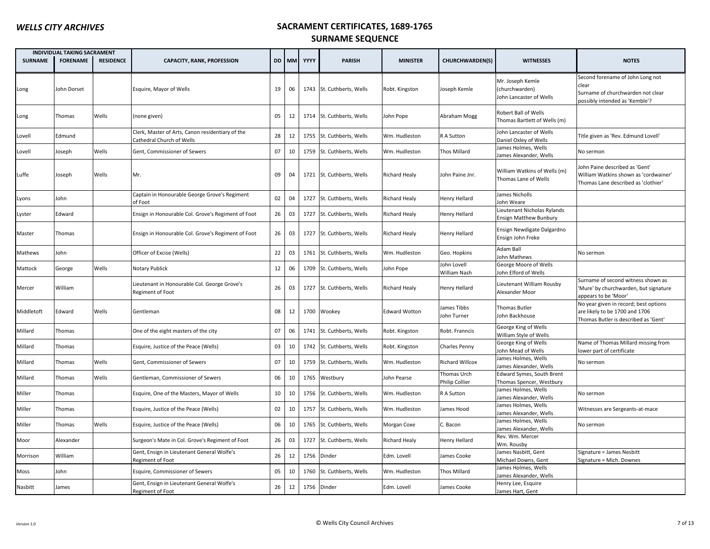|                | <b>INDIVIDUAL TAKING SACRAMENT</b> |                  |                                                                               |    |       |      |                           |                      |                               |                                                               |                                                                                                                  |
|----------------|------------------------------------|------------------|-------------------------------------------------------------------------------|----|-------|------|---------------------------|----------------------|-------------------------------|---------------------------------------------------------------|------------------------------------------------------------------------------------------------------------------|
| <b>SURNAME</b> | <b>FORENAME</b>                    | <b>RESIDENCE</b> | <b>CAPACITY, RANK, PROFESSION</b>                                             |    | DD MM | YYYY | <b>PARISH</b>             | <b>MINISTER</b>      | <b>CHURCHWARDEN(S)</b>        | <b>WITNESSES</b>                                              | <b>NOTES</b>                                                                                                     |
| Long           | John Dorset                        |                  | Esquire, Mayor of Wells                                                       | 19 | 06    |      | 1743 St. Cuthberts, Wells | Robt. Kingston       | Joseph Kemle                  | Mr. Joseph Kemle<br>(churchwarden)<br>John Lancaster of Wells | Second forename of John Long not<br>clear<br>Surname of churchwarden not clear<br>possibly intended as 'Kemble'? |
| Long           | Thomas                             | Wells            | (none given)                                                                  | 05 | 12    |      | 1714 St. Cuthberts, Wells | John Pope            | Abraham Mogg                  | Robert Ball of Wells<br>Thomas Bartlett of Wells (m)          |                                                                                                                  |
| Lovell         | Edmund                             |                  | Clerk, Master of Arts, Canon residentiary of the<br>Cathedral Church of Wells | 28 | 12    |      | 1755 St. Cuthberts, Wells | Wm. Hudleston        | R A Sutton                    | John Lancaster of Wells<br>Daniel Oxley of Wells              | Title given as 'Rev. Edmund Lovell'                                                                              |
| Lovell         | Joseph                             | Wells            | Gent, Commissioner of Sewers                                                  | 07 | 10    |      | 1759 St. Cuthberts, Wells | Wm. Hudleston        | Thos Millard                  | James Holmes, Wells<br>James Alexander, Wells                 | No sermon                                                                                                        |
| Luffe          | Joseph                             | Wells            | Mr.                                                                           | 09 | 04    |      | 1721 St. Cuthberts, Wells | <b>Richard Healy</b> | John Paine Jnr.               | William Watkins of Wells (m)<br>Thomas Lane of Wells          | Iohn Paine described as 'Gent'<br>William Watkins shown as 'cordwainer'<br>Thomas Lane described as 'clothier'   |
| Lyons          | John                               |                  | Captain in Honourable George Grove's Regiment<br>of Foot                      | 02 | 04    | 1727 | St. Cuthberts, Wells      | <b>Richard Healy</b> | Henry Hellard                 | James Nicholls<br>John Weare                                  |                                                                                                                  |
| Lyster         | Edward                             |                  | Ensign in Honourable Col. Grove's Regiment of Foot                            | 26 | 03    |      | 1727 St. Cuthberts, Wells | <b>Richard Healy</b> | Henry Hellard                 | Lieutenant Nicholas Rylands<br>Ensign Matthew Bunbury         |                                                                                                                  |
| Master         | Thomas                             |                  | Ensign in Honourable Col. Grove's Regiment of Foot                            | 26 | 03    |      | 1727 St. Cuthberts, Wells | <b>Richard Healy</b> | Henry Hellard                 | Ensign Newdigate Dalgardno<br>Ensign John Freke               |                                                                                                                  |
| Mathews        | John                               |                  | Officer of Excise (Wells)                                                     | 22 | 03    |      | 1761 St. Cuthberts, Wells | Wm. Hudleston        | Geo. Hopkins                  | Adam Ball<br><b>John Mathews</b>                              | No sermon                                                                                                        |
| Mattock        | George                             | Wells            | Notary Publick                                                                | 12 | 06    |      | 1709 St. Cuthberts, Wells | John Pope            | ohn Lovell<br>William Nash    | George Moore of Wells<br>John Elford of Wells                 |                                                                                                                  |
| Mercer         | William                            |                  | Lieutenant in Honourable Col. George Grove's<br>Regiment of Foot              | 26 | 03    |      | 1727 St. Cuthberts, Wells | <b>Richard Healy</b> | Henry Hellard                 | Lieutenant William Rousby<br>Alexander Moor                   | Surname of second witness shown as<br>'Mure' by churchwarden, but signature<br>appears to be 'Moor'              |
| Middletoft     | Edward                             | Wells            | Gentleman                                                                     | 08 | 12    |      | 1700 Wookey               | <b>Edward Wotton</b> | ames Tibbs<br>ohn Turner      | Thomas Butler<br>John Backhouse                               | No year given in record; best options<br>are likely to be 1700 and 1706<br>Thomas Butler is described as 'Gent'  |
| Millard        | Thomas                             |                  | One of the eight masters of the city                                          | 07 | 06    |      | 1741 St. Cuthberts, Wells | Robt. Kingston       | Robt. Franncis                | George King of Wells<br>William Style of Wells                |                                                                                                                  |
| Millard        | Thomas                             |                  | Esquire, Justice of the Peace (Wells)                                         | 03 | 10    | 1742 | St. Cuthberts, Wells      | Robt. Kingston       | Charles Penny                 | George King of Wells<br>John Mead of Wells                    | Name of Thomas Millard missing from<br>lower part of certificate                                                 |
| Millard        | Thomas                             | Wells            | Gent, Commissioner of Sewers                                                  | 07 | 10    |      | 1759 St. Cuthberts, Wells | Wm. Hudleston        | <b>Richard Willcox</b>        | James Holmes, Wells<br>James Alexander, Wells                 | No sermon                                                                                                        |
| Millard        | Thomas                             | Wells            | Gentleman, Commissioner of Sewers                                             | 06 | 10    | 1765 | Westbury                  | John Pearse          | Thomas Urch<br>Philip Collier | Edward Symes, South Brent<br>Thomas Spencer, Westbury         |                                                                                                                  |
| Miller         | Thomas                             |                  | Esquire, One of the Masters, Mayor of Wells                                   | 10 | 10    |      | 1756 St. Cuthberts, Wells | Wm. Hudleston        | R A Sutton                    | James Holmes, Wells<br>James Alexander, Wells                 | No sermon                                                                                                        |
| Miller         | Thomas                             |                  | Esquire, Justice of the Peace (Wells)                                         | 02 | 10    | 1757 | St. Cuthberts, Wells      | Wm. Hudleston        | ames Hood                     | James Holmes, Wells<br>James Alexander, Wells                 | Witnesses are Sergeants-at-mace                                                                                  |
| Miller         | Thomas                             | Wells            | Esquire, Justice of the Peace (Wells)                                         | 06 | 10    | 1765 | St. Cuthberts, Wells      | Morgan Coxe          | C. Bacon                      | James Holmes, Wells<br>James Alexander, Wells                 | No sermon                                                                                                        |
| Moor           | Alexander                          |                  | Surgeon's Mate in Col. Grove's Regiment of Foot                               | 26 | 03    |      | 1727 St. Cuthberts, Wells | <b>Richard Healy</b> | Henry Hellard                 | Rev. Wm. Mercer<br>Wm. Rousby                                 |                                                                                                                  |
| Morrison       | William                            |                  | Gent, Ensign in Lieutenant General Wolfe's<br>Regiment of Foot                | 26 | 12    | 1756 | Dinder                    | Edm. Lovell          | ames Cooke                    | James Nasbitt, Gent<br>Michael Downs, Gent                    | Signature = James Nesbitt<br>Signature = Mich. Downes                                                            |
| Moss           | John                               |                  | Esquire, Commissioner of Sewers                                               | 05 | 10    | 1760 | St. Cuthberts, Wells      | Wm. Hudleston        | <b>Thos Millard</b>           | James Holmes, Wells<br>James Alexander, Wells                 |                                                                                                                  |
| Nasbitt        | James                              |                  | Gent, Ensign in Lieutenant General Wolfe's<br>Regiment of Foot                | 26 | 12    | 1756 | Dinder                    | Edm. Lovell          | <b>James Cooke</b>            | Henry Lee, Esquire<br>James Hart, Gent                        |                                                                                                                  |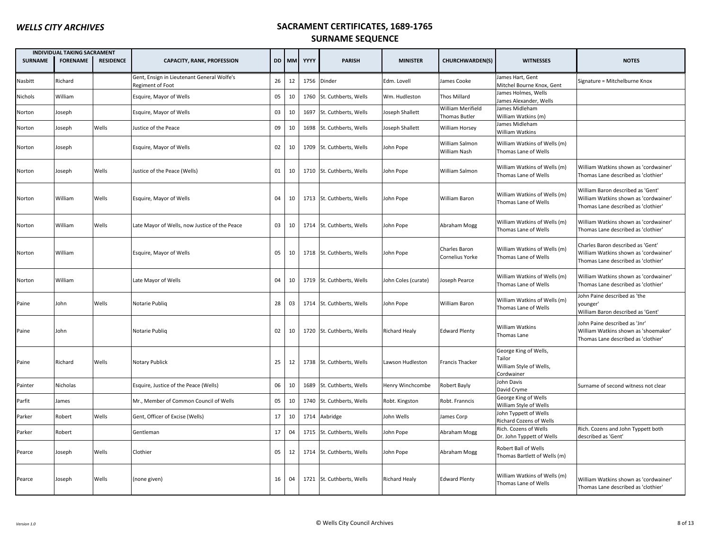|                | <b>INDIVIDUAL TAKING SACRAMENT</b> |                  |                                                                |    |        |            |                           |                      |                                    |                                                                          |                                                                                                                   |
|----------------|------------------------------------|------------------|----------------------------------------------------------------|----|--------|------------|---------------------------|----------------------|------------------------------------|--------------------------------------------------------------------------|-------------------------------------------------------------------------------------------------------------------|
| <b>SURNAME</b> | <b>FORENAME</b>                    | <b>RESIDENCE</b> | <b>CAPACITY, RANK, PROFESSION</b>                              |    |        | DD MM YYYY | <b>PARISH</b>             | <b>MINISTER</b>      | <b>CHURCHWARDEN(S)</b>             | <b>WITNESSES</b>                                                         | <b>NOTES</b>                                                                                                      |
| Nasbitt        | Richard                            |                  | Gent, Ensign in Lieutenant General Wolfe's<br>Regiment of Foot | 26 | 12     |            | 1756 Dinder               | Edm. Lovell          | <b>James Cooke</b>                 | James Hart, Gent<br>Mitchel Bourne Knox, Gent                            | Signature = Mitchelburne Knox                                                                                     |
| Nichols        | William                            |                  | Esquire, Mayor of Wells                                        | 05 | $10\,$ |            | 1760 St. Cuthberts, Wells | Wm. Hudleston        | Thos Millard                       | James Holmes, Wells<br>James Alexander, Wells                            |                                                                                                                   |
| Norton         | Joseph                             |                  | Esquire, Mayor of Wells                                        | 03 | 10     | 1697       | St. Cuthberts, Wells      | Joseph Shallett      | William Merifield<br>Thomas Butler | James Midleham<br>William Watkins (m)                                    |                                                                                                                   |
| Norton         | Joseph                             | Wells            | Justice of the Peace                                           | 09 | 10     |            | 1698 St. Cuthberts, Wells | Joseph Shallett      | William Horsey                     | James Midleham<br><b>William Watkins</b>                                 |                                                                                                                   |
| Norton         | Joseph                             |                  | Esquire, Mayor of Wells                                        | 02 | 10     |            | 1709 St. Cuthberts, Wells | John Pope            | William Salmon<br>William Nash     | William Watkins of Wells (m)<br>Thomas Lane of Wells                     |                                                                                                                   |
| Norton         | Joseph                             | Wells            | Justice of the Peace (Wells)                                   | 01 | 10     |            | 1710 St. Cuthberts, Wells | John Pope            | William Salmon                     | William Watkins of Wells (m)<br>Thomas Lane of Wells                     | William Watkins shown as 'cordwainer'<br>Thomas Lane described as 'clothier'                                      |
| Norton         | William                            | Wells            | Esquire, Mayor of Wells                                        | 04 | 10     |            | 1713 St. Cuthberts, Wells | John Pope            | William Baron                      | William Watkins of Wells (m)<br>Thomas Lane of Wells                     | William Baron described as 'Gent'<br>William Watkins shown as 'cordwainer'<br>Thomas Lane described as 'clothier' |
| Norton         | William                            | Wells            | Late Mayor of Wells, now Justice of the Peace                  | 03 | 10     |            | 1714 St. Cuthberts, Wells | John Pope            | Abraham Mogg                       | William Watkins of Wells (m)<br>Thomas Lane of Wells                     | William Watkins shown as 'cordwainer'<br>Thomas Lane described as 'clothier'                                      |
| Norton         | William                            |                  | Esquire, Mayor of Wells                                        | 05 | 10     |            | 1718 St. Cuthberts, Wells | John Pope            | Charles Baron<br>Cornelius Yorke   | William Watkins of Wells (m)<br>Thomas Lane of Wells                     | Charles Baron described as 'Gent'<br>William Watkins shown as 'cordwainer'<br>Thomas Lane described as 'clothier' |
| Norton         | William                            |                  | Late Mayor of Wells                                            | 04 | 10     |            | 1719 St. Cuthberts, Wells | John Coles (curate)  | Ioseph Pearce                      | William Watkins of Wells (m)<br>Thomas Lane of Wells                     | William Watkins shown as 'cordwainer'<br>Thomas Lane described as 'clothier'                                      |
| Paine          | John                               | Wells            | Notarie Publiq                                                 | 28 | 03     |            | 1714 St. Cuthberts, Wells | John Pope            | William Baron                      | William Watkins of Wells (m)<br>Thomas Lane of Wells                     | John Paine described as 'the<br>vounger'<br>William Baron described as 'Gent'                                     |
| Paine          | John                               |                  | Notarie Publiq                                                 | 02 | 10     |            | 1720 St. Cuthberts, Wells | <b>Richard Healy</b> | <b>Edward Plenty</b>               | <b>William Watkins</b><br>Thomas Lane                                    | John Paine described as 'Jnr'<br>William Watkins shown as 'shoemaker'<br>Thomas Lane described as 'clothier'      |
| Paine          | Richard                            | Wells            | <b>Notary Publick</b>                                          | 25 | 12     |            | 1738 St. Cuthberts, Wells | Lawson Hudleston     | Francis Thacker                    | George King of Wells,<br>Tailor<br>William Style of Wells,<br>Cordwainer |                                                                                                                   |
| Painter        | Nicholas                           |                  | Esquire, Justice of the Peace (Wells)                          | 06 | 10     |            | 1689 St. Cuthberts, Wells | Henry Winchcombe     | Robert Bayly                       | John Davis<br>David Cryme                                                | Surname of second witness not clear                                                                               |
| Parfit         | James                              |                  | Mr., Member of Common Council of Wells                         | 05 | 10     |            | 1740 St. Cuthberts, Wells | Robt. Kingston       | Robt. Franncis                     | George King of Wells<br>William Style of Wells                           |                                                                                                                   |
| Parker         | Robert                             | Wells            | Gent, Officer of Excise (Wells)                                | 17 | 10     |            | 1714 Axbridge             | John Wells           | lames Corp                         | John Typpett of Wells<br>Richard Cozens of Wells                         |                                                                                                                   |
| Parker         | Robert                             |                  | Gentleman                                                      | 17 | 04     |            | 1715 St. Cuthberts, Wells | John Pope            | Abraham Mogg                       | Rich. Cozens of Wells<br>Dr. John Typpett of Wells                       | Rich. Cozens and John Typpett both<br>described as 'Gent'                                                         |
| Pearce         | Joseph                             | Wells            | Clothier                                                       | 05 | 12     |            | 1714 St. Cuthberts, Wells | John Pope            | Abraham Mogg                       | Robert Ball of Wells<br>Thomas Bartlett of Wells (m)                     |                                                                                                                   |
| Pearce         | Joseph                             | Wells            | (none given)                                                   | 16 | 04     |            | 1721 St. Cuthberts, Wells | <b>Richard Healy</b> | <b>Edward Plenty</b>               | William Watkins of Wells (m)<br>Thomas Lane of Wells                     | William Watkins shown as 'cordwainer'<br>Thomas Lane described as 'clothier'                                      |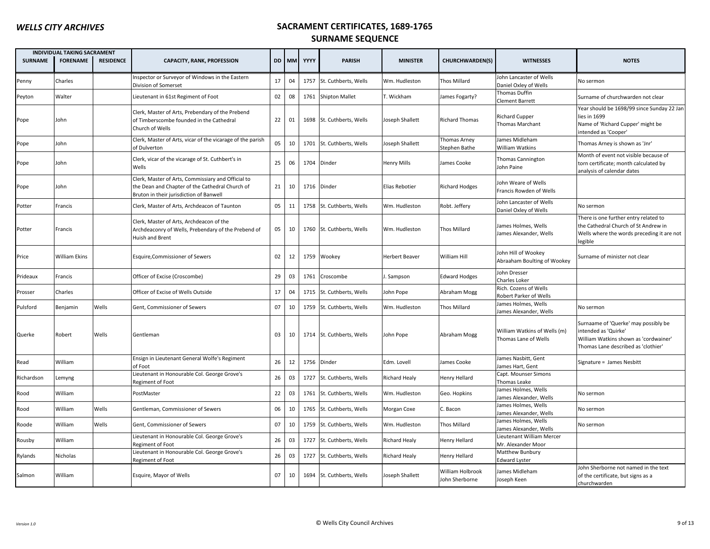|                | INDIVIDUAL TAKING SACRAMENT |                  |                                                                                                                                                  |    |       |      |                           |                       |                                    |                                                      |                                                                                                                                              |
|----------------|-----------------------------|------------------|--------------------------------------------------------------------------------------------------------------------------------------------------|----|-------|------|---------------------------|-----------------------|------------------------------------|------------------------------------------------------|----------------------------------------------------------------------------------------------------------------------------------------------|
| <b>SURNAME</b> | <b>FORENAME</b>             | <b>RESIDENCE</b> | <b>CAPACITY, RANK, PROFESSION</b>                                                                                                                |    | DD MM | YYYY | <b>PARISH</b>             | <b>MINISTER</b>       | <b>CHURCHWARDEN(S)</b>             | <b>WITNESSES</b>                                     | <b>NOTES</b>                                                                                                                                 |
| Penny          | Charles                     |                  | Inspector or Surveyor of Windows in the Eastern<br>Division of Somerset                                                                          | 17 | 04    |      | 1757 St. Cuthberts, Wells | Wm. Hudleston         | Thos Millard                       | John Lancaster of Wells<br>Daniel Oxley of Wells     | No sermon                                                                                                                                    |
| Peyton         | Walter                      |                  | Lieutenant in 61st Regiment of Foot                                                                                                              | 02 | 08    |      | 1761 Shipton Mallet       | T. Wickham            | James Fogarty?                     | Thomas Duffin<br>Clement Barrett                     | Surname of churchwarden not clear                                                                                                            |
| Pope           | John                        |                  | Clerk, Master of Arts, Prebendary of the Prebend<br>of Timberscombe founded in the Cathedral<br>Church of Wells                                  | 22 | 01    |      | 1698 St. Cuthberts, Wells | Joseph Shallett       | <b>Richard Thomas</b>              | <b>Richard Cupper</b><br>Thomas Marchant             | Year should be 1698/99 since Sunday 22 Jan<br>lies in 1699<br>Name of 'Richard Cupper' might be<br>intended as 'Cooper'                      |
| Pope           | John                        |                  | Clerk, Master of Arts, vicar of the vicarage of the parish<br>of Dulverton                                                                       | 05 | 10    |      | 1701 St. Cuthberts, Wells | Joseph Shallett       | Thomas Arney<br>Stephen Bathe      | James Midleham<br>William Watkins                    | Thomas Arney is shown as 'Jnr'                                                                                                               |
| Pope           | John                        |                  | Clerk, vicar of the vicarage of St. Cuthbert's in<br>Wells                                                                                       | 25 | 06    |      | 1704 Dinder               | <b>Henry Mills</b>    | James Cooke                        | Thomas Cannington<br>John Paine                      | Month of event not visible because of<br>torn certificate; month calculated by<br>analysis of calendar dates                                 |
| Pope           | John                        |                  | Clerk, Master of Arts, Commissiary and Official to<br>the Dean and Chapter of the Cathedral Church of<br>Bruton in their jurisdiction of Banwell | 21 | 10    |      | 1716 Dinder               | Elias Rebotier        | <b>Richard Hodges</b>              | John Weare of Wells<br>Francis Rowden of Wells       |                                                                                                                                              |
| Potter         | Francis                     |                  | Clerk, Master of Arts, Archdeacon of Taunton                                                                                                     | 05 | 11    |      | 1758 St. Cuthberts, Wells | Wm. Hudleston         | Robt. Jeffery                      | John Lancaster of Wells<br>Daniel Oxley of Wells     | No sermon                                                                                                                                    |
| Potter         | Francis                     |                  | Clerk, Master of Arts, Archdeacon of the<br>Archdeaconry of Wells, Prebendary of the Prebend of<br>Huish and Brent                               | 05 | 10    |      | 1760 St. Cuthberts, Wells | Wm. Hudleston         | Thos Millard                       | James Holmes, Wells<br>James Alexander, Wells        | There is one further entry related to<br>the Cathedral Church of St Andrew in<br>Wells where the words preceding it are not<br>legible       |
| Price          | William Ekins               |                  | Esquire, Commissioner of Sewers                                                                                                                  | 02 | 12    |      | 1759 Wookey               | <b>Herbert Beaver</b> | William Hill                       | John Hill of Wookey<br>Abraaham Boulting of Wookey   | Surname of minister not clear                                                                                                                |
| Prideaux       | Francis                     |                  | Officer of Excise (Croscombe)                                                                                                                    | 29 | 03    |      | 1761 Croscombe            | J. Sampson            | <b>Edward Hodges</b>               | John Dresser<br>Charles Loker                        |                                                                                                                                              |
| Prosser        | Charles                     |                  | Officer of Excise of Wells Outside                                                                                                               | 17 | 04    |      | 1715 St. Cuthberts, Wells | John Pope             | Abraham Mogg                       | Rich. Cozens of Wells<br>Robert Parker of Wells      |                                                                                                                                              |
| Pulsford       | Benjamin                    | Wells            | Gent, Commissioner of Sewers                                                                                                                     | 07 | 10    |      | 1759 St. Cuthberts, Wells | Wm. Hudleston         | <b>Thos Millard</b>                | James Holmes, Wells<br>James Alexander, Wells        | No sermon                                                                                                                                    |
| Querke         | Robert                      | Wells            | Gentleman                                                                                                                                        | 03 | 10    |      | 1714 St. Cuthberts, Wells | John Pope             | Abraham Mogg                       | William Watkins of Wells (m)<br>Thomas Lane of Wells | Surnaame of 'Querke' may possibly be<br>intended as 'Quirke'<br>William Watkins shown as 'cordwainer'<br>Thomas Lane described as 'clothier' |
| Read           | William                     |                  | Ensign in Lieutenant General Wolfe's Regiment<br>of Foot                                                                                         | 26 | 12    |      | 1756 Dinder               | Edm. Lovell           | James Cooke                        | James Nasbitt, Gent<br>James Hart, Gent              | Signature = James Nesbitt                                                                                                                    |
| Richardson     | Lemyng                      |                  | Lieutenant in Honourable Col. George Grove's<br>Regiment of Foot                                                                                 | 26 | 03    |      | 1727 St. Cuthberts, Wells | <b>Richard Healy</b>  | Henry Hellard                      | Capt. Mounser Simons<br>Thomas Leake                 |                                                                                                                                              |
| Rood           | William                     |                  | PostMaster                                                                                                                                       | 22 | 03    |      | 1761 St. Cuthberts, Wells | Wm. Hudleston         | Geo. Hopkins                       | James Holmes, Wells<br>James Alexander, Wells        | No sermon                                                                                                                                    |
| Rood           | William                     | Wells            | Gentleman, Commissioner of Sewers                                                                                                                | 06 | 10    |      | 1765 St. Cuthberts, Wells | Morgan Coxe           | C. Bacon                           | James Holmes, Wells<br>James Alexander, Wells        | No sermon                                                                                                                                    |
| Roode          | William                     | Wells            | Gent, Commissioner of Sewers                                                                                                                     | 07 | 10    |      | 1759 St. Cuthberts, Wells | Wm. Hudleston         | Thos Millard                       | James Holmes, Wells<br>James Alexander, Wells        | No sermon                                                                                                                                    |
| Rousby         | William                     |                  | Lieutenant in Honourable Col. George Grove's<br>Regiment of Foot                                                                                 | 26 | 03    |      | 1727 St. Cuthberts, Wells | <b>Richard Healy</b>  | Henry Hellard                      | Lieutenant William Mercer<br>Mr. Alexander Moor      |                                                                                                                                              |
| Rylands        | Nicholas                    |                  | Lieutenant in Honourable Col. George Grove's<br>Regiment of Foot                                                                                 | 26 | 03    |      | 1727 St. Cuthberts, Wells | <b>Richard Healy</b>  | Henry Hellard                      | Matthew Bunbury<br>Edward Lyster                     |                                                                                                                                              |
| Salmon         | William                     |                  | Esquire, Mayor of Wells                                                                                                                          | 07 | 10    |      | 1694 St. Cuthberts, Wells | Joseph Shallett       | William Holbrook<br>John Sherborne | James Midleham<br>Joseph Keen                        | John Sherborne not named in the text<br>of the certificate, but signs as a<br>churchwarden                                                   |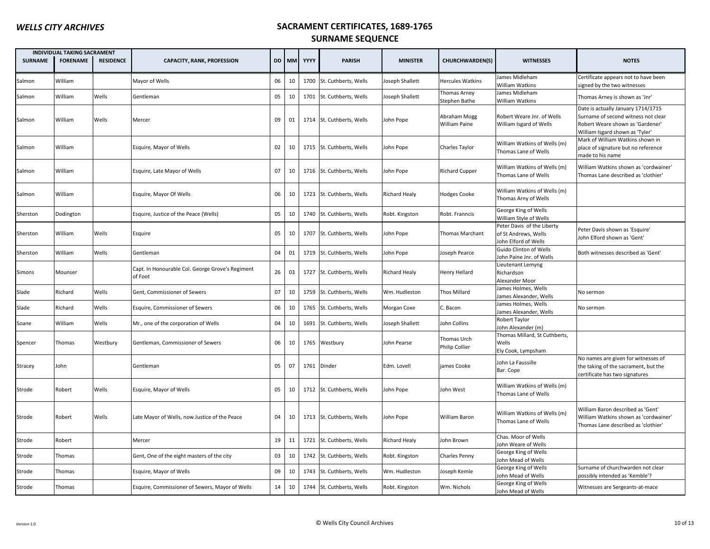|                | <b>INDIVIDUAL TAKING SACRAMENT</b> |                  |                                                             |    |       |             |                           |                      |                               |                                                                            |                                                                                                                                                  |
|----------------|------------------------------------|------------------|-------------------------------------------------------------|----|-------|-------------|---------------------------|----------------------|-------------------------------|----------------------------------------------------------------------------|--------------------------------------------------------------------------------------------------------------------------------------------------|
| <b>SURNAME</b> | <b>FORENAME</b>                    | <b>RESIDENCE</b> | <b>CAPACITY, RANK, PROFESSION</b>                           |    | DD MM | YYYY        | <b>PARISH</b>             | <b>MINISTER</b>      | <b>CHURCHWARDEN(S)</b>        | <b>WITNESSES</b>                                                           | <b>NOTES</b>                                                                                                                                     |
| Salmon         | William                            |                  | Mayor of Wells                                              | 06 | 10    |             | 1700 St. Cuthberts, Wells | Joseph Shallett      | <b>Hercules Watkins</b>       | James Midleham<br><b>William Watkins</b>                                   | Certificate appears not to have been<br>signed by the two witnesses                                                                              |
| Salmon         | William                            | Wells            | Gentleman                                                   | 05 | 10    |             | 1701 St. Cuthberts, Wells | Joseph Shallett      | Thomas Arney<br>Stephen Bathe | James Midleham<br>William Watkins                                          | Thomas Arney is shown as 'Jnr'                                                                                                                   |
| Salmon         | William                            | Wells            | Mercer                                                      | 09 | 01    |             | 1714 St. Cuthberts, Wells | John Pope            | Abraham Mogg<br>William Paine | Robert Weare Jnr. of Wells<br>William Isgard of Wells                      | Date is actually January 1714/1715<br>Surname of second witness not clear<br>Robert Weare shown as 'Gardener'<br>William Isgard shown as 'Tyler' |
| Salmon         | William                            |                  | Esquire, Mayor of Wells                                     | 02 | 10    |             | 1715 St. Cuthberts, Wells | John Pope            | Charles Taylor                | William Watkins of Wells (m)<br>Thomas Lane of Wells                       | Mark of William Watkins shown in<br>place of signature but no reference<br>made to his name                                                      |
| Salmon         | William                            |                  | Esquire, Late Mayor of Wells                                | 07 | 10    |             | 1716 St. Cuthberts, Wells | John Pope            | <b>Richard Cupper</b>         | William Watkins of Wells (m)<br>Thomas Lane of Wells                       | William Watkins shown as 'cordwainer'<br>Thomas Lane described as 'clothier'                                                                     |
| Salmon         | William                            |                  | Esquire, Mayor Of Wells                                     | 06 | 10    |             | 1723 St. Cuthberts, Wells | <b>Richard Healy</b> | <b>Hodges Cooke</b>           | William Watkins of Wells (m)<br>Thomas Arny of Wells                       |                                                                                                                                                  |
| Sherston       | Dodington                          |                  | Esquire, Justice of the Peace (Wells)                       | 05 | 10    |             | 1740 St. Cuthberts, Wells | Robt. Kingston       | Robt. Franncis                | George King of Wells<br>William Style of Wells                             |                                                                                                                                                  |
| Sherston       | William                            | Wells            | Esquire                                                     | 05 | 10    |             | 1707 St. Cuthberts, Wells | John Pope            | Thomas Marchant               | Peter Davis of the Liberty<br>of St Andrews, Wells<br>John Elford of Wells | Peter Davis shown as 'Esquire'<br>John Elford shown as 'Gent'                                                                                    |
| Sherston       | William                            | Wells            | Gentleman                                                   | 04 | 01    |             | 1719 St. Cuthberts, Wells | John Pope            | oseph Pearce                  | Guido Clinton of Wells<br>John Paine Jnr. of Wells                         | Both witnesses described as 'Gent'                                                                                                               |
| Simons         | Mounser                            |                  | Capt. In Honourable Col. George Grove's Regiment<br>of Foot | 26 | 03    |             | 1727 St. Cuthberts, Wells | <b>Richard Healy</b> | Henry Hellard                 | Lieutenant Lemyng<br>Richardson<br>Alexander Moor                          |                                                                                                                                                  |
| Slade          | Richard                            | Wells            | Gent, Commissioner of Sewers                                | 07 | 10    |             | 1759 St. Cuthberts, Wells | Wm. Hudleston        | Thos Millard                  | James Holmes, Wells<br>James Alexander, Wells                              | No sermon                                                                                                                                        |
| Slade          | Richard                            | Wells            | Esquire, Commissioner of Sewers                             | 06 | 10    | 1765        | St. Cuthberts, Wells      | Morgan Coxe          | C. Bacon                      | James Holmes, Wells<br>James Alexander, Wells                              | No sermon                                                                                                                                        |
| Soane          | William                            | Wells            | Mr., one of the corporation of Wells                        | 04 | 10    | 1691        | St. Cuthberts, Wells      | Joseph Shallett      | John Collins                  | Robert Taylor<br>John Alexander (m)                                        |                                                                                                                                                  |
| Spencer        | Thomas                             | Westbury         | Gentleman, Commissioner of Sewers                           | 06 | 10    |             | 1765 Westbury             | John Pearse          | Thomas Urch<br>Philip Collier | Thomas Millard, St Cuthberts,<br>Wells<br>Ely Cook, Lympsham               |                                                                                                                                                  |
| Stracey        | John                               |                  | Gentleman                                                   | 05 | 07    | 1761 Dinder |                           | Edm. Lovell          | james Cooke                   | John La Faussille<br>Bar. Cope                                             | No names are given for witnesses of<br>the taking of the sacrament, but the<br>certificate has two signatures                                    |
| Strode         | Robert                             | Wells            | Esquire, Mayor of Wells                                     | 05 | 10    |             | 1712 St. Cuthberts, Wells | John Pope            | John West                     | William Watkins of Wells (m)<br>Thomas Lane of Wells                       |                                                                                                                                                  |
| Strode         | Robert                             | Wells            | Late Mayor of Wells, now Justice of the Peace               | 04 | 10    |             | 1713 St. Cuthberts, Wells | John Pope            | William Baron                 | William Watkins of Wells (m)<br>Thomas Lane of Wells                       | William Baron described as 'Gent'<br>William Watkins shown as 'cordwainer'<br>Thomas Lane described as 'clothier'                                |
| Strode         | Robert                             |                  | Mercer                                                      | 19 | 11    | 1721        | St. Cuthberts, Wells      | <b>Richard Healy</b> | John Brown                    | Chas. Moor of Wells<br>John Weare of Wells                                 |                                                                                                                                                  |
| Strode         | Thomas                             |                  | Gent, One of the eight masters of the city                  | 03 | 10    |             | 1742 St. Cuthberts, Wells | Robt. Kingston       | Charles Penny                 | George King of Wells<br>John Mead of Wells                                 |                                                                                                                                                  |
| Strode         | Thomas                             |                  | Esquire, Mayor of Wells                                     | 09 | 10    | 1743        | St. Cuthberts, Wells      | Wm. Hudleston        | loseph Kemle                  | George King of Wells<br>John Mead of Wells                                 | Surname of churchwarden not clear<br>possibly intended as 'Kemble'?                                                                              |
| Strode         | Thomas                             |                  | Esquire, Commissioner of Sewers, Mayor of Wells             | 14 | 10    |             | 1744 St. Cuthberts, Wells | Robt. Kingston       | Wm. Nichols                   | George King of Wells<br>John Mead of Wells                                 | Witnesses are Sergeants-at-mace                                                                                                                  |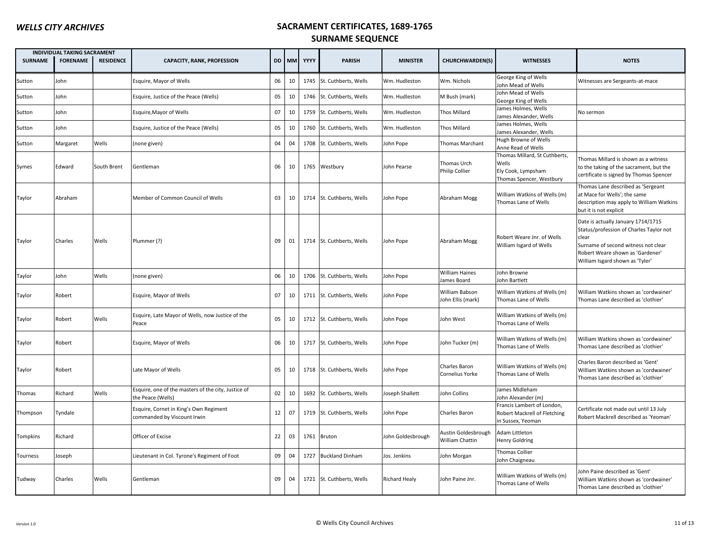| <b>SURNAME</b> | <b>INDIVIDUAL TAKING SACRAMENT</b><br><b>FORENAME</b> | <b>RESIDENCE</b> | <b>CAPACITY, RANK, PROFESSION</b>                                        |    | DD MM | YYYY | <b>PARISH</b>             | <b>MINISTER</b>   | <b>CHURCHWARDEN(S)</b>                 | <b>WITNESSES</b>                                                                         | <b>NOTES</b>                                                                                                                                                                                         |
|----------------|-------------------------------------------------------|------------------|--------------------------------------------------------------------------|----|-------|------|---------------------------|-------------------|----------------------------------------|------------------------------------------------------------------------------------------|------------------------------------------------------------------------------------------------------------------------------------------------------------------------------------------------------|
| Sutton         | John                                                  |                  | Esquire, Mayor of Wells                                                  | 06 | 10    | 1745 | St. Cuthberts, Wells      | Wm. Hudleston     | Wm. Nichols                            | George King of Wells<br>Iohn Mead of Wells                                               | Witnesses are Sergeants-at-mace                                                                                                                                                                      |
| Sutton         | John                                                  |                  | Esquire, Justice of the Peace (Wells)                                    | 05 | 10    |      | 1746 St. Cuthberts, Wells | Wm. Hudleston     | M Bush (mark)                          | John Mead of Wells<br>George King of Wells                                               |                                                                                                                                                                                                      |
| Sutton         | John                                                  |                  | Esquire, Mayor of Wells                                                  | 07 | 10    | 1759 | St. Cuthberts, Wells      | Wm. Hudleston     | Thos Millard                           | lames Holmes, Wells<br>lames Alexander, Wells                                            | No sermon                                                                                                                                                                                            |
| Sutton         | John                                                  |                  | Esquire, Justice of the Peace (Wells)                                    | 05 | 10    |      | 1760 St. Cuthberts, Wells | Wm. Hudleston     | Thos Millard                           | James Holmes, Wells<br>lames Alexander, Wells                                            |                                                                                                                                                                                                      |
| Sutton         | Margaret                                              | Wells            | (none given)                                                             | 04 | 04    | 1708 | St. Cuthberts, Wells      | John Pope         | Thomas Marchant                        | Hugh Browne of Wells<br>Anne Read of Wells                                               |                                                                                                                                                                                                      |
| Symes          | Edward                                                | South Brent      | Gentleman                                                                | 06 | 10    |      | 1765 Westbury             | John Pearse       | Thomas Urch<br>Philip Collier          | Thomas Millard, St Cuthberts,<br>Wells<br>Ely Cook, Lympsham<br>Thomas Spencer, Westbury | Thomas Millard is shown as a witness<br>to the taking of the sacrament, but the<br>certificate is signed by Thomas Spencer                                                                           |
| Taylor         | Abraham                                               |                  | Member of Common Council of Wells                                        | 03 | 10    |      | 1714 St. Cuthberts, Wells | John Pope         | Abraham Mogg                           | William Watkins of Wells (m)<br>Thomas Lane of Wells                                     | Thomas Lane described as 'Sergeant<br>at Mace for Wells'; the same<br>description may apply to William Watkins<br>but it is not explicit                                                             |
| Taylor         | Charles                                               | Wells            | Plummer (?)                                                              | 09 | 01    |      | 1714 St. Cuthberts, Wells | John Pope         | Abraham Mogg                           | Robert Weare Jnr. of Wells<br>William Isgard of Wells                                    | Date is actually January 1714/1715<br>Status/profession of Charles Taylor not<br>clear<br>Surname of second witness not clear<br>Robert Weare shown as 'Gardener'<br>William Isgard shown as 'Tyler' |
| Taylor         | John                                                  | Wells            | (none given)                                                             | 06 | 10    |      | 1706 St. Cuthberts, Wells | John Pope         | <b>William Haines</b><br>James Board   | Iohn Browne<br>Iohn Bartlett                                                             |                                                                                                                                                                                                      |
| Taylor         | Robert                                                |                  | Esquire, Mayor of Wells                                                  | 07 | 10    |      | 1711 St. Cuthberts, Wells | John Pope         | William Babson<br>John Ellis (mark)    | William Watkins of Wells (m)<br>Thomas Lane of Wells                                     | William Watkins shown as 'cordwainer'<br>Thomas Lane described as 'clothier'                                                                                                                         |
| Taylor         | Robert                                                | Wells            | Esquire, Late Mayor of Wells, now Justice of the<br>Peace                | 05 | 10    |      | 1712 St. Cuthberts, Wells | John Pope         | John West                              | William Watkins of Wells (m)<br>Thomas Lane of Wells                                     |                                                                                                                                                                                                      |
| Taylor         | Robert                                                |                  | Esquire, Mayor of Wells                                                  | 06 | 10    |      | 1717 St. Cuthberts, Wells | John Pope         | John Tucker (m)                        | William Watkins of Wells (m)<br>Thomas Lane of Wells                                     | William Watkins shown as 'cordwainer'<br>Thomas Lane described as 'clothier'                                                                                                                         |
| Taylor         | Robert                                                |                  | Late Mayor of Wells                                                      | 05 | 10    |      | 1718 St. Cuthberts, Wells | John Pope         | Charles Baron<br>Cornelius Yorke       | William Watkins of Wells (m)<br>Thomas Lane of Wells                                     | Charles Baron described as 'Gent'<br>William Watkins shown as 'cordwainer'<br>Thomas Lane described as 'clothier'                                                                                    |
| Thomas         | Richard                                               | Wells            | Esquire, one of the masters of the city, Justice of<br>the Peace (Wells) | 02 | 10    |      | 1692 St. Cuthberts, Wells | Joseph Shallett   | John Collins                           | lames Midleham<br>Iohn Alexander (m)                                                     |                                                                                                                                                                                                      |
| Thompson       | Tyndale                                               |                  | Esquire, Cornet in King's Own Regiment<br>commanded by Viscount Irwin    | 12 | 07    |      | 1719 St. Cuthberts, Wells | John Pope         | Charles Baron                          | Francis Lambert of London,<br>Robert Mackrell of Fletching<br>in Sussex, Yeoman          | Certificate not made out until 13 July<br>Robert Mackrell described as 'Yeoman'                                                                                                                      |
| Tompkins       | Richard                                               |                  | Officer of Excise                                                        | 22 | 03    |      | 1761 Bruton               | John Goldesbrough | Austin Goldesbrough<br>William Chattin | Adam Littleton<br>Henry Goldring                                                         |                                                                                                                                                                                                      |
| Tourness       | Joseph                                                |                  | Lieutenant in Col. Tyrone's Regiment of Foot                             | 09 | 04    | 1727 | <b>Buckland Dinham</b>    | Jos. Jenkins      | John Morgan                            | Thomas Collier<br>Iohn Chaigneau                                                         |                                                                                                                                                                                                      |
| Tudway         | Charles                                               | Wells            | Gentleman                                                                | 09 | 04    |      | 1721 St. Cuthberts, Wells | Richard Healy     | John Paine Jnr.                        | William Watkins of Wells (m)<br>Thomas Lane of Wells                                     | John Paine described as 'Gent'<br>William Watkins shown as 'cordwainer'<br>Thomas Lane described as 'clothier'                                                                                       |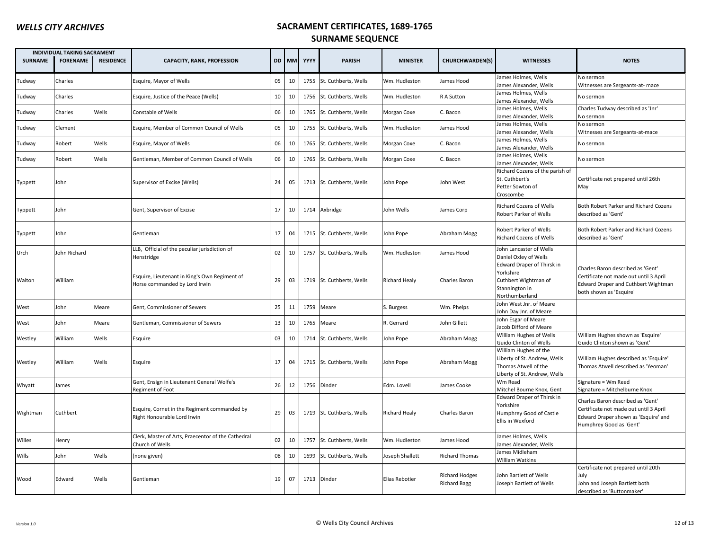|                | INDIVIDUAL TAKING SACRAMENT |                  |                                                                                |    |       |      |                           |                      |                                       |                                                                                                               |                                                                                                                                                |
|----------------|-----------------------------|------------------|--------------------------------------------------------------------------------|----|-------|------|---------------------------|----------------------|---------------------------------------|---------------------------------------------------------------------------------------------------------------|------------------------------------------------------------------------------------------------------------------------------------------------|
| <b>SURNAME</b> | <b>FORENAME</b>             | <b>RESIDENCE</b> | <b>CAPACITY, RANK, PROFESSION</b>                                              |    | DD MM | YYYY | <b>PARISH</b>             | <b>MINISTER</b>      | <b>CHURCHWARDEN(S)</b>                | <b>WITNESSES</b>                                                                                              | <b>NOTES</b>                                                                                                                                   |
| Tudway         | Charles                     |                  | Esquire, Mayor of Wells                                                        | 05 | 10    | 1755 | St. Cuthberts, Wells      | Wm. Hudleston        | James Hood                            | lames Holmes, Wells<br>lames Alexander, Wells                                                                 | No sermon<br>Witnesses are Sergeants-at-mace                                                                                                   |
| Tudway         | Charles                     |                  | Esquire, Justice of the Peace (Wells)                                          | 10 | 10    |      | 1756 St. Cuthberts, Wells | Wm. Hudleston        | R A Sutton                            | lames Holmes, Wells<br>lames Alexander, Wells                                                                 | No sermon                                                                                                                                      |
| Tudway         | Charles                     | Wells            | Constable of Wells                                                             | 06 | 10    | 1765 | St. Cuthberts, Wells      | Morgan Coxe          | C. Bacon                              | lames Holmes, Wells<br>lames Alexander, Wells                                                                 | Charles Tudway described as 'Jnr'<br>No sermon                                                                                                 |
| Tudway         | Clement                     |                  | Esquire, Member of Common Council of Wells                                     | 05 | 10    |      | 1755 St. Cuthberts, Wells | Wm. Hudleston        | James Hood                            | lames Holmes, Wells<br>lames Alexander, Wells                                                                 | No sermon<br>Witnesses are Sergeants-at-mace                                                                                                   |
| Tudway         | Robert                      | Wells            | Esquire, Mayor of Wells                                                        | 06 | 10    | 1765 | St. Cuthberts, Wells      | Morgan Coxe          | . Bacon                               | lames Holmes, Wells<br>lames Alexander, Wells                                                                 | No sermon                                                                                                                                      |
| Tudway         | Robert                      | Wells            | Gentleman, Member of Common Council of Wells                                   | 06 | 10    |      | 1765 St. Cuthberts, Wells | Morgan Coxe          | C. Bacon                              | James Holmes, Wells<br>lames Alexander, Wells                                                                 | No sermon                                                                                                                                      |
| Typpett        | John                        |                  | Supervisor of Excise (Wells)                                                   | 24 | 05    |      | 1713 St. Cuthberts, Wells | John Pope            | John West                             | Richard Cozens of the parish of<br>St. Cuthbert's<br>Petter Sowton of<br>Croscombe                            | Certificate not prepared until 26th<br>May                                                                                                     |
| Typpett        | John                        |                  | Gent, Supervisor of Excise                                                     | 17 | 10    |      | 1714 Axbridge             | John Wells           | James Corp                            | Richard Cozens of Wells<br>Robert Parker of Wells                                                             | Both Robert Parker and Richard Cozens<br>described as 'Gent'                                                                                   |
| Typpett        | John                        |                  | Gentleman                                                                      | 17 | 04    |      | 1715 St. Cuthberts, Wells | John Pope            | Abraham Mogg                          | Robert Parker of Wells<br>Richard Cozens of Wells                                                             | Both Robert Parker and Richard Cozens<br>described as 'Gent'                                                                                   |
| Urch           | John Richard                |                  | LLB, Official of the peculiar jurisdiction of<br>Henstridge                    | 02 | 10    | 1757 | St. Cuthberts, Wells      | Wm. Hudleston        | James Hood                            | John Lancaster of Wells<br>Daniel Oxley of Wells                                                              |                                                                                                                                                |
| Walton         | William                     |                  | Esquire, Lieutenant in King's Own Regiment of<br>Horse commanded by Lord Irwin | 29 | 03    |      | 1719 St. Cuthberts, Wells | Richard Healy        | Charles Baron                         | Edward Draper of Thirsk in<br>Yorkshire<br>Cuthbert Wightman of<br>Stannington in<br>Northumberland           | Charles Baron described as 'Gent'<br>Certificate not made out until 3 April<br>Edward Draper and Cuthbert Wightman<br>both shown as 'Esquire'  |
| West           | John                        | Meare            | Gent, Commissioner of Sewers                                                   | 25 | 11    | 1759 | Meare                     | S. Burgess           | Wm. Phelps                            | John West Jnr. of Meare<br>Iohn Day Jnr. of Meare                                                             |                                                                                                                                                |
| West           | John                        | Meare            | Gentleman, Commissioner of Sewers                                              | 13 | 10    | 1765 | Meare                     | R. Gerrard           | John Gillett                          | John Esgar of Meare<br>acob Difford of Meare                                                                  |                                                                                                                                                |
| Westley        | William                     | Wells            | Esquire                                                                        | 03 | 10    |      | 1714 St. Cuthberts, Wells | John Pope            | Abraham Mogg                          | William Hughes of Wells<br>Guido Clinton of Wells                                                             | William Hughes shown as 'Esquire'<br>Guido Clinton shown as 'Gent'                                                                             |
| Westley        | William                     | Wells            | Esquire                                                                        | 17 | 04    |      | 1715 St. Cuthberts, Wells | John Pope            | Abraham Mogg                          | William Hughes of the<br>Liberty of St. Andrew, Wells<br>Thomas Atwell of the<br>Liberty of St. Andrew, Wells | William Hughes described as 'Esquire'<br>Thomas Atwell described as 'Yeoman'                                                                   |
| Whyatt         | James                       |                  | Gent, Ensign in Lieutenant General Wolfe's<br>Regiment of Foot                 | 26 | 12    | 1756 | Dinder                    | Edm. Lovell          | James Cooke                           | Wm Read<br>Mitchel Bourne Knox, Gent                                                                          | Signature = Wm Reed<br>Signature = Mitchelburne Knox                                                                                           |
| Wightman       | Cuthbert                    |                  | Esquire, Cornet in the Regiment commanded by<br>Right Honourable Lord Irwin    | 29 | 03    |      | 1719 St. Cuthberts, Wells | <b>Richard Healy</b> | Charles Baron                         | Edward Draper of Thirsk in<br>Yorkshire<br>Humphrey Good of Castle<br>Ellis in Wexford                        | Charles Baron described as 'Gent'<br>Certificate not made out until 3 April<br>Edward Draper shown as 'Esquire' and<br>Humphrey Good as 'Gent' |
| Willes         | Henry                       |                  | Clerk, Master of Arts, Praecentor of the Cathedral<br>Church of Wells          | 02 | 10    |      | 1757 St. Cuthberts, Wells | Wm. Hudleston        | James Hood                            | lames Holmes, Wells<br>lames Alexander, Wells                                                                 |                                                                                                                                                |
| Wills          | John                        | Wells            | (none given)                                                                   | 08 | 10    | 1699 | St. Cuthberts, Wells      | Joseph Shallett      | <b>Richard Thomas</b>                 | lames Midleham<br>William Watkins                                                                             |                                                                                                                                                |
| Wood           | Edward                      | Wells            | Gentleman                                                                      | 19 | 07    | 1713 | Dinder                    | Elias Rebotier       | Richard Hodges<br><b>Richard Bagg</b> | John Bartlett of Wells<br>Joseph Bartlett of Wells                                                            | Certificate not prepared until 20th<br>July<br>John and Joseph Bartlett both<br>described as 'Buttonmaker'                                     |